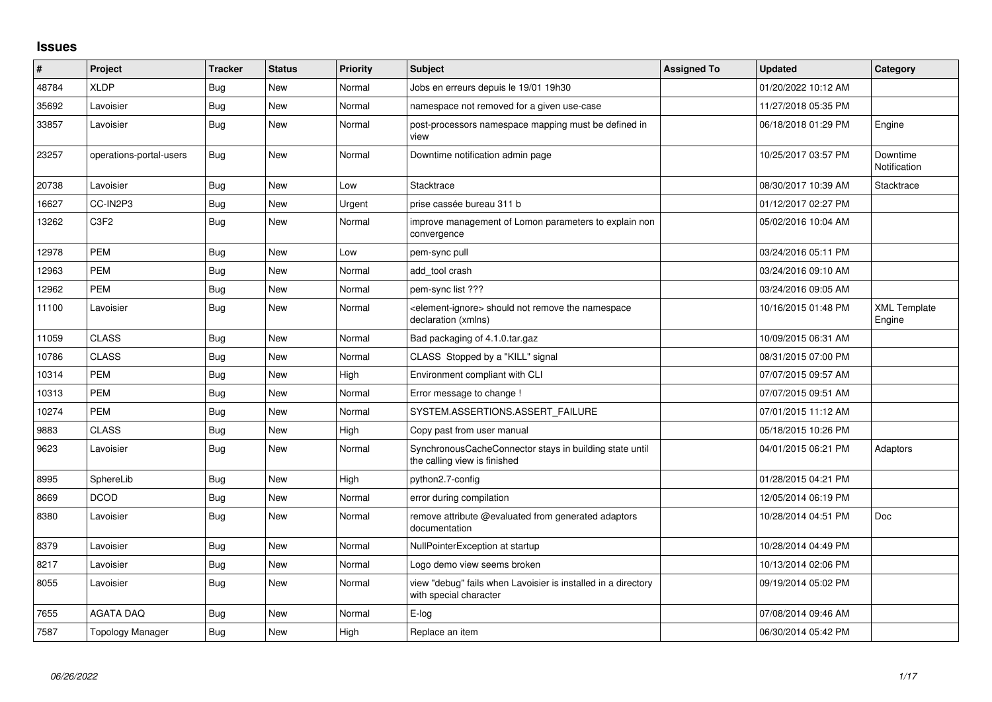## **Issues**

| #     | <b>Project</b>          | <b>Tracker</b> | <b>Status</b> | Priority | <b>Subject</b>                                                                            | <b>Assigned To</b> | <b>Updated</b>      | Category                      |
|-------|-------------------------|----------------|---------------|----------|-------------------------------------------------------------------------------------------|--------------------|---------------------|-------------------------------|
| 48784 | <b>XLDP</b>             | Bug            | New           | Normal   | Jobs en erreurs depuis le 19/01 19h30                                                     |                    | 01/20/2022 10:12 AM |                               |
| 35692 | Lavoisier               | Bug            | <b>New</b>    | Normal   | namespace not removed for a given use-case                                                |                    | 11/27/2018 05:35 PM |                               |
| 33857 | Lavoisier               | Bug            | New           | Normal   | post-processors namespace mapping must be defined in<br>view                              |                    | 06/18/2018 01:29 PM | Engine                        |
| 23257 | operations-portal-users | <b>Bug</b>     | New           | Normal   | Downtime notification admin page                                                          |                    | 10/25/2017 03:57 PM | Downtime<br>Notification      |
| 20738 | Lavoisier               | Bug            | <b>New</b>    | Low      | Stacktrace                                                                                |                    | 08/30/2017 10:39 AM | Stacktrace                    |
| 16627 | CC-IN2P3                | <b>Bug</b>     | New           | Urgent   | prise cassée bureau 311 b                                                                 |                    | 01/12/2017 02:27 PM |                               |
| 13262 | C <sub>3F2</sub>        | Bug            | New           | Normal   | improve management of Lomon parameters to explain non<br>convergence                      |                    | 05/02/2016 10:04 AM |                               |
| 12978 | <b>PEM</b>              | <b>Bug</b>     | <b>New</b>    | Low      | pem-sync pull                                                                             |                    | 03/24/2016 05:11 PM |                               |
| 12963 | <b>PEM</b>              | <b>Bug</b>     | New           | Normal   | add tool crash                                                                            |                    | 03/24/2016 09:10 AM |                               |
| 12962 | <b>PEM</b>              | Bug            | New           | Normal   | pem-sync list ???                                                                         |                    | 03/24/2016 09:05 AM |                               |
| 11100 | Lavoisier               | <b>Bug</b>     | New           | Normal   | <element-ignore> should not remove the namespace<br/>declaration (xmlns)</element-ignore> |                    | 10/16/2015 01:48 PM | <b>XML Template</b><br>Engine |
| 11059 | <b>CLASS</b>            | Bug            | <b>New</b>    | Normal   | Bad packaging of 4.1.0.tar.gaz                                                            |                    | 10/09/2015 06:31 AM |                               |
| 10786 | <b>CLASS</b>            | <b>Bug</b>     | New           | Normal   | CLASS Stopped by a "KILL" signal                                                          |                    | 08/31/2015 07:00 PM |                               |
| 10314 | <b>PEM</b>              | <b>Bug</b>     | <b>New</b>    | High     | Environment compliant with CLI                                                            |                    | 07/07/2015 09:57 AM |                               |
| 10313 | <b>PEM</b>              | Bug            | New           | Normal   | Error message to change !                                                                 |                    | 07/07/2015 09:51 AM |                               |
| 10274 | <b>PEM</b>              | Bug            | New           | Normal   | SYSTEM.ASSERTIONS.ASSERT FAILURE                                                          |                    | 07/01/2015 11:12 AM |                               |
| 9883  | <b>CLASS</b>            | Bug            | New           | High     | Copy past from user manual                                                                |                    | 05/18/2015 10:26 PM |                               |
| 9623  | Lavoisier               | <b>Bug</b>     | New           | Normal   | SynchronousCacheConnector stays in building state until<br>the calling view is finished   |                    | 04/01/2015 06:21 PM | Adaptors                      |
| 8995  | SphereLib               | Bug            | <b>New</b>    | High     | python2.7-config                                                                          |                    | 01/28/2015 04:21 PM |                               |
| 8669  | <b>DCOD</b>             | Bug            | New           | Normal   | error during compilation                                                                  |                    | 12/05/2014 06:19 PM |                               |
| 8380  | Lavoisier               | Bug            | New           | Normal   | remove attribute @evaluated from generated adaptors<br>documentation                      |                    | 10/28/2014 04:51 PM | <b>Doc</b>                    |
| 8379  | Lavoisier               | Bug            | <b>New</b>    | Normal   | NullPointerException at startup                                                           |                    | 10/28/2014 04:49 PM |                               |
| 8217  | Lavoisier               | Bug            | New           | Normal   | Logo demo view seems broken                                                               |                    | 10/13/2014 02:06 PM |                               |
| 8055  | Lavoisier               | <b>Bug</b>     | <b>New</b>    | Normal   | view "debug" fails when Lavoisier is installed in a directory<br>with special character   |                    | 09/19/2014 05:02 PM |                               |
| 7655  | <b>AGATA DAQ</b>        | Bug            | New           | Normal   | E-log                                                                                     |                    | 07/08/2014 09:46 AM |                               |
| 7587  | <b>Topology Manager</b> | Bug            | <b>New</b>    | High     | Replace an item                                                                           |                    | 06/30/2014 05:42 PM |                               |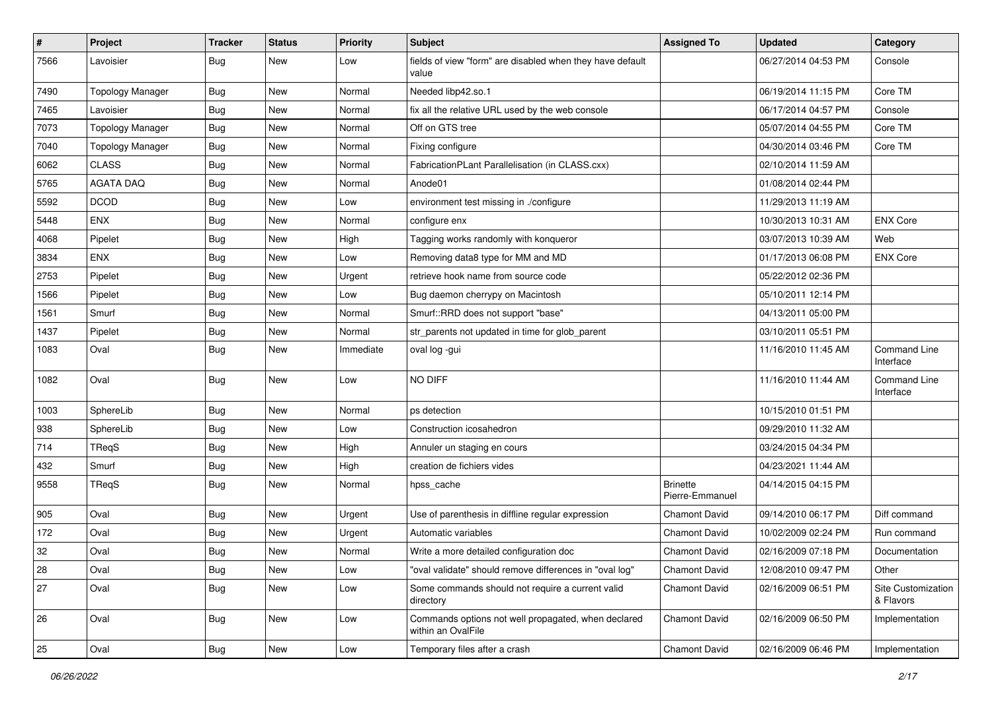| #    | Project                 | <b>Tracker</b> | <b>Status</b> | <b>Priority</b> | Subject                                                                   | <b>Assigned To</b>                 | <b>Updated</b>      | Category                         |
|------|-------------------------|----------------|---------------|-----------------|---------------------------------------------------------------------------|------------------------------------|---------------------|----------------------------------|
| 7566 | Lavoisier               | Bug            | New           | Low             | fields of view "form" are disabled when they have default<br>value        |                                    | 06/27/2014 04:53 PM | Console                          |
| 7490 | <b>Topology Manager</b> | Bug            | New           | Normal          | Needed libp42.so.1                                                        |                                    | 06/19/2014 11:15 PM | Core TM                          |
| 7465 | Lavoisier               | <b>Bug</b>     | New           | Normal          | fix all the relative URL used by the web console                          |                                    | 06/17/2014 04:57 PM | Console                          |
| 7073 | <b>Topology Manager</b> | <b>Bug</b>     | New           | Normal          | Off on GTS tree                                                           |                                    | 05/07/2014 04:55 PM | Core TM                          |
| 7040 | <b>Topology Manager</b> | <b>Bug</b>     | New           | Normal          | Fixing configure                                                          |                                    | 04/30/2014 03:46 PM | Core TM                          |
| 6062 | <b>CLASS</b>            | <b>Bug</b>     | New           | Normal          | FabricationPLant Parallelisation (in CLASS.cxx)                           |                                    | 02/10/2014 11:59 AM |                                  |
| 5765 | <b>AGATA DAQ</b>        | <b>Bug</b>     | New           | Normal          | Anode01                                                                   |                                    | 01/08/2014 02:44 PM |                                  |
| 5592 | <b>DCOD</b>             | <b>Bug</b>     | New           | Low             | environment test missing in ./configure                                   |                                    | 11/29/2013 11:19 AM |                                  |
| 5448 | ENX                     | <b>Bug</b>     | New           | Normal          | configure enx                                                             |                                    | 10/30/2013 10:31 AM | <b>ENX Core</b>                  |
| 4068 | Pipelet                 | <b>Bug</b>     | New           | High            | Tagging works randomly with konqueror                                     |                                    | 03/07/2013 10:39 AM | Web                              |
| 3834 | ENX                     | <b>Bug</b>     | New           | Low             | Removing data8 type for MM and MD                                         |                                    | 01/17/2013 06:08 PM | <b>ENX Core</b>                  |
| 2753 | Pipelet                 | <b>Bug</b>     | New           | Urgent          | retrieve hook name from source code                                       |                                    | 05/22/2012 02:36 PM |                                  |
| 1566 | Pipelet                 | <b>Bug</b>     | New           | Low             | Bug daemon cherrypy on Macintosh                                          |                                    | 05/10/2011 12:14 PM |                                  |
| 1561 | Smurf                   | <b>Bug</b>     | New           | Normal          | Smurf::RRD does not support "base"                                        |                                    | 04/13/2011 05:00 PM |                                  |
| 1437 | Pipelet                 | Bug            | New           | Normal          | str_parents not updated in time for glob_parent                           |                                    | 03/10/2011 05:51 PM |                                  |
| 1083 | Oval                    | <b>Bug</b>     | New           | Immediate       | oval log -gui                                                             |                                    | 11/16/2010 11:45 AM | <b>Command Line</b><br>Interface |
| 1082 | Oval                    | <b>Bug</b>     | New           | Low             | NO DIFF                                                                   |                                    | 11/16/2010 11:44 AM | Command Line<br>Interface        |
| 1003 | SphereLib               | <b>Bug</b>     | New           | Normal          | ps detection                                                              |                                    | 10/15/2010 01:51 PM |                                  |
| 938  | SphereLib               | <b>Bug</b>     | New           | Low             | Construction icosahedron                                                  |                                    | 09/29/2010 11:32 AM |                                  |
| 714  | TReqS                   | <b>Bug</b>     | New           | High            | Annuler un staging en cours                                               |                                    | 03/24/2015 04:34 PM |                                  |
| 432  | Smurf                   | Bug            | New           | High            | creation de fichiers vides                                                |                                    | 04/23/2021 11:44 AM |                                  |
| 9558 | TReqS                   | Bug            | New           | Normal          | hpss_cache                                                                | <b>Brinette</b><br>Pierre-Emmanuel | 04/14/2015 04:15 PM |                                  |
| 905  | Oval                    | <b>Bug</b>     | New           | Urgent          | Use of parenthesis in diffline regular expression                         | <b>Chamont David</b>               | 09/14/2010 06:17 PM | Diff command                     |
| 172  | Oval                    | <b>Bug</b>     | New           | Urgent          | Automatic variables                                                       | <b>Chamont David</b>               | 10/02/2009 02:24 PM | Run command                      |
| 32   | Oval                    | <b>Bug</b>     | New           | Normal          | Write a more detailed configuration doc                                   | <b>Chamont David</b>               | 02/16/2009 07:18 PM | Documentation                    |
| 28   | Oval                    | Bug            | New           | Low             | "oval validate" should remove differences in "oval log"                   | <b>Chamont David</b>               | 12/08/2010 09:47 PM | Other                            |
| 27   | Oval                    | <b>Bug</b>     | New           | Low             | Some commands should not require a current valid<br>directory             | Chamont David                      | 02/16/2009 06:51 PM | Site Customization<br>& Flavors  |
| 26   | Oval                    | Bug            | New           | Low             | Commands options not well propagated, when declared<br>within an OvalFile | Chamont David                      | 02/16/2009 06:50 PM | Implementation                   |
| 25   | Oval                    | <b>Bug</b>     | New           | Low             | Temporary files after a crash                                             | Chamont David                      | 02/16/2009 06:46 PM | Implementation                   |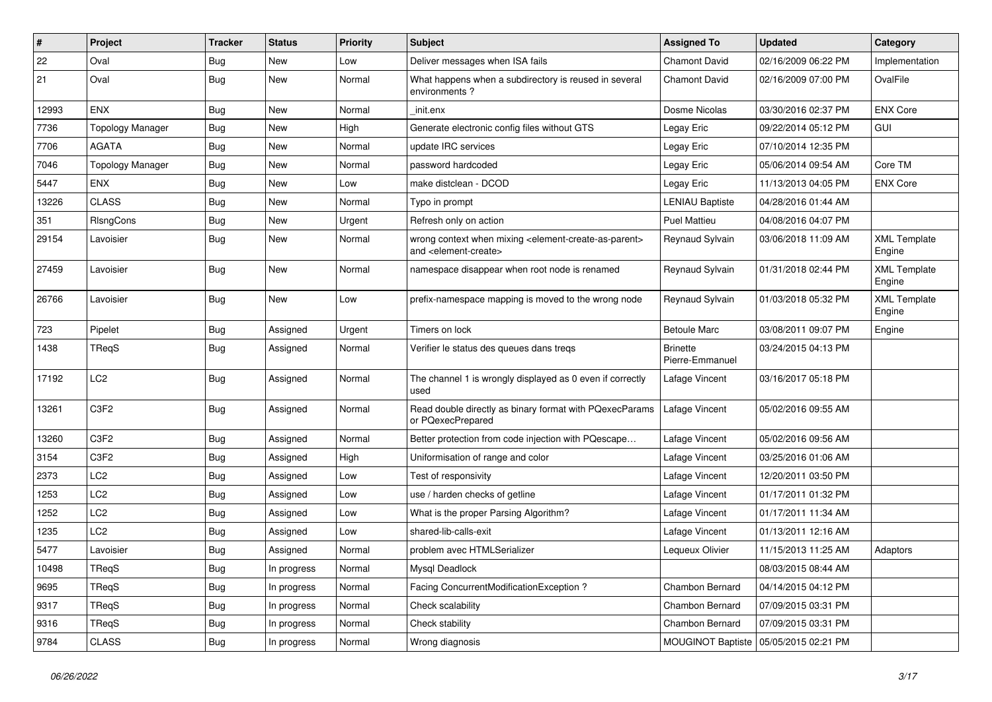| #     | Project                 | <b>Tracker</b> | <b>Status</b> | <b>Priority</b> | <b>Subject</b>                                                                                                            | <b>Assigned To</b>                 | <b>Updated</b>      | Category                      |
|-------|-------------------------|----------------|---------------|-----------------|---------------------------------------------------------------------------------------------------------------------------|------------------------------------|---------------------|-------------------------------|
| 22    | Oval                    | Bug            | New           | Low             | Deliver messages when ISA fails                                                                                           | <b>Chamont David</b>               | 02/16/2009 06:22 PM | Implementation                |
| 21    | Oval                    | <b>Bug</b>     | New           | Normal          | What happens when a subdirectory is reused in several<br>environments?                                                    | <b>Chamont David</b>               | 02/16/2009 07:00 PM | OvalFile                      |
| 12993 | ENX                     | <b>Bug</b>     | New           | Normal          | init.enx                                                                                                                  | Dosme Nicolas                      | 03/30/2016 02:37 PM | <b>ENX Core</b>               |
| 7736  | <b>Topology Manager</b> | Bug            | New           | High            | Generate electronic config files without GTS                                                                              | Legay Eric                         | 09/22/2014 05:12 PM | GUI                           |
| 7706  | <b>AGATA</b>            | <b>Bug</b>     | New           | Normal          | update IRC services                                                                                                       | Legay Eric                         | 07/10/2014 12:35 PM |                               |
| 7046  | <b>Topology Manager</b> | <b>Bug</b>     | New           | Normal          | password hardcoded                                                                                                        | Legay Eric                         | 05/06/2014 09:54 AM | Core TM                       |
| 5447  | <b>ENX</b>              | Bug            | New           | Low             | make distclean - DCOD                                                                                                     | Legay Eric                         | 11/13/2013 04:05 PM | <b>ENX Core</b>               |
| 13226 | <b>CLASS</b>            | <b>Bug</b>     | New           | Normal          | Typo in prompt                                                                                                            | <b>LENIAU Baptiste</b>             | 04/28/2016 01:44 AM |                               |
| 351   | RIsngCons               | Bug            | New           | Urgent          | Refresh only on action                                                                                                    | <b>Puel Mattieu</b>                | 04/08/2016 04:07 PM |                               |
| 29154 | Lavoisier               | Bug            | New           | Normal          | wrong context when mixing <element-create-as-parent><br/>and <element-create></element-create></element-create-as-parent> | Reynaud Sylvain                    | 03/06/2018 11:09 AM | <b>XML Template</b><br>Engine |
| 27459 | Lavoisier               | <b>Bug</b>     | New           | Normal          | namespace disappear when root node is renamed                                                                             | Reynaud Sylvain                    | 01/31/2018 02:44 PM | <b>XML Template</b><br>Engine |
| 26766 | Lavoisier               | Bug            | New           | Low             | prefix-namespace mapping is moved to the wrong node                                                                       | Reynaud Sylvain                    | 01/03/2018 05:32 PM | <b>XML Template</b><br>Engine |
| 723   | Pipelet                 | <b>Bug</b>     | Assigned      | Urgent          | Timers on lock                                                                                                            | <b>Betoule Marc</b>                | 03/08/2011 09:07 PM | Engine                        |
| 1438  | TReqS                   | <b>Bug</b>     | Assigned      | Normal          | Verifier le status des queues dans tregs                                                                                  | <b>Brinette</b><br>Pierre-Emmanuel | 03/24/2015 04:13 PM |                               |
| 17192 | LC <sub>2</sub>         | <b>Bug</b>     | Assigned      | Normal          | The channel 1 is wrongly displayed as 0 even if correctly<br>used                                                         | Lafage Vincent                     | 03/16/2017 05:18 PM |                               |
| 13261 | C <sub>3F2</sub>        | Bug            | Assigned      | Normal          | Read double directly as binary format with PQexecParams<br>or PQexecPrepared                                              | Lafage Vincent                     | 05/02/2016 09:55 AM |                               |
| 13260 | C3F2                    | Bug            | Assigned      | Normal          | Better protection from code injection with PQescape                                                                       | Lafage Vincent                     | 05/02/2016 09:56 AM |                               |
| 3154  | C3F2                    | Bug            | Assigned      | High            | Uniformisation of range and color                                                                                         | Lafage Vincent                     | 03/25/2016 01:06 AM |                               |
| 2373  | LC <sub>2</sub>         | Bug            | Assigned      | Low             | Test of responsivity                                                                                                      | Lafage Vincent                     | 12/20/2011 03:50 PM |                               |
| 1253  | LC <sub>2</sub>         | Bug            | Assigned      | Low             | use / harden checks of getline                                                                                            | Lafage Vincent                     | 01/17/2011 01:32 PM |                               |
| 1252  | LC <sub>2</sub>         | <b>Bug</b>     | Assigned      | Low             | What is the proper Parsing Algorithm?                                                                                     | Lafage Vincent                     | 01/17/2011 11:34 AM |                               |
| 1235  | LC <sub>2</sub>         | Bug            | Assigned      | Low             | shared-lib-calls-exit                                                                                                     | Lafage Vincent                     | 01/13/2011 12:16 AM |                               |
| 5477  | Lavoisier               | Bug            | Assigned      | Normal          | problem avec HTMLSerializer                                                                                               | Lequeux Olivier                    | 11/15/2013 11:25 AM | Adaptors                      |
| 10498 | TReqS                   | <b>Bug</b>     | In progress   | Normal          | Mysql Deadlock                                                                                                            |                                    | 08/03/2015 08:44 AM |                               |
| 9695  | TReqS                   | <b>Bug</b>     | In progress   | Normal          | Facing ConcurrentModificationException ?                                                                                  | Chambon Bernard                    | 04/14/2015 04:12 PM |                               |
| 9317  | TReqS                   | <b>Bug</b>     | In progress   | Normal          | Check scalability                                                                                                         | Chambon Bernard                    | 07/09/2015 03:31 PM |                               |
| 9316  | TReqS                   | <b>Bug</b>     | In progress   | Normal          | Check stability                                                                                                           | Chambon Bernard                    | 07/09/2015 03:31 PM |                               |
| 9784  | <b>CLASS</b>            | Bug            | In progress   | Normal          | Wrong diagnosis                                                                                                           | MOUGINOT Baptiste                  | 05/05/2015 02:21 PM |                               |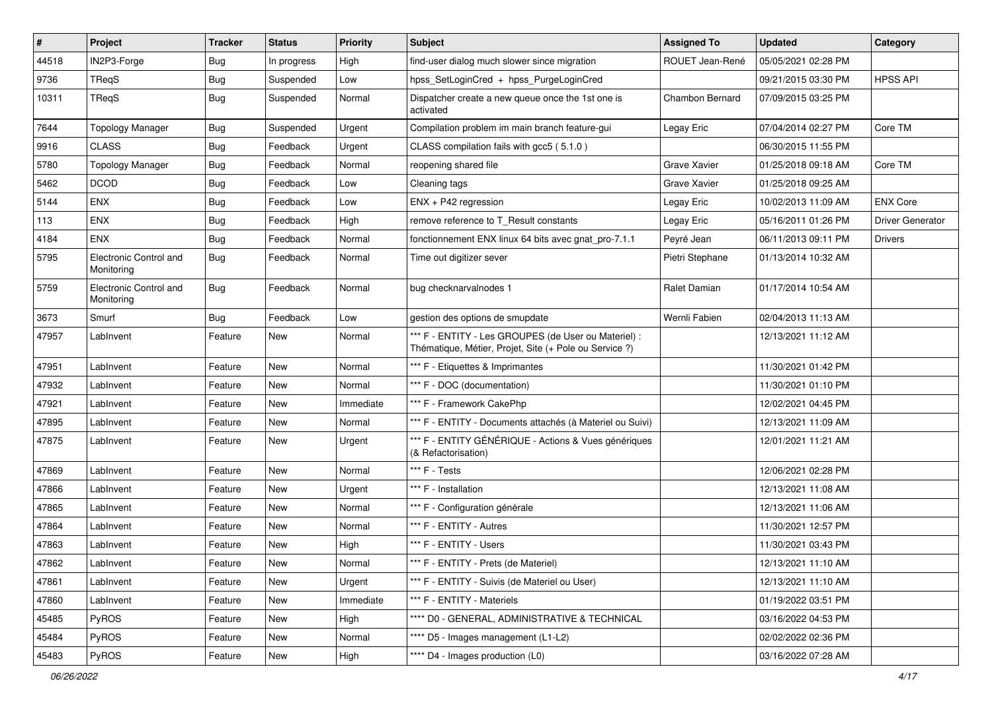| $\vert$ # | Project                              | <b>Tracker</b> | <b>Status</b> | <b>Priority</b> | Subject                                                                                                        | <b>Assigned To</b> | <b>Updated</b>      | Category                |
|-----------|--------------------------------------|----------------|---------------|-----------------|----------------------------------------------------------------------------------------------------------------|--------------------|---------------------|-------------------------|
| 44518     | IN2P3-Forge                          | Bug            | In progress   | High            | find-user dialog much slower since migration                                                                   | ROUET Jean-René    | 05/05/2021 02:28 PM |                         |
| 9736      | TReqS                                | Bug            | Suspended     | Low             | hpss_SetLoginCred + hpss_PurgeLoginCred                                                                        |                    | 09/21/2015 03:30 PM | <b>HPSS API</b>         |
| 10311     | TReqS                                | Bug            | Suspended     | Normal          | Dispatcher create a new queue once the 1st one is<br>activated                                                 | Chambon Bernard    | 07/09/2015 03:25 PM |                         |
| 7644      | <b>Topology Manager</b>              | Bug            | Suspended     | Urgent          | Compilation problem im main branch feature-gui                                                                 | Legay Eric         | 07/04/2014 02:27 PM | Core TM                 |
| 9916      | <b>CLASS</b>                         | <b>Bug</b>     | Feedback      | Urgent          | CLASS compilation fails with gcc5 (5.1.0)                                                                      |                    | 06/30/2015 11:55 PM |                         |
| 5780      | <b>Topology Manager</b>              | Bug            | Feedback      | Normal          | reopening shared file                                                                                          | Grave Xavier       | 01/25/2018 09:18 AM | Core TM                 |
| 5462      | <b>DCOD</b>                          | <b>Bug</b>     | Feedback      | Low             | Cleaning tags                                                                                                  | Grave Xavier       | 01/25/2018 09:25 AM |                         |
| 5144      | <b>ENX</b>                           | <b>Bug</b>     | Feedback      | Low             | $ENX + P42$ regression                                                                                         | Legay Eric         | 10/02/2013 11:09 AM | <b>ENX Core</b>         |
| 113       | <b>ENX</b>                           | Bug            | Feedback      | High            | remove reference to T_Result constants                                                                         | Legay Eric         | 05/16/2011 01:26 PM | <b>Driver Generator</b> |
| 4184      | <b>ENX</b>                           | Bug            | Feedback      | Normal          | fonctionnement ENX linux 64 bits avec gnat_pro-7.1.1                                                           | Peyré Jean         | 06/11/2013 09:11 PM | <b>Drivers</b>          |
| 5795      | Electronic Control and<br>Monitoring | Bug            | Feedback      | Normal          | Time out digitizer sever                                                                                       | Pietri Stephane    | 01/13/2014 10:32 AM |                         |
| 5759      | Electronic Control and<br>Monitoring | Bug            | Feedback      | Normal          | bug checknarvalnodes 1                                                                                         | Ralet Damian       | 01/17/2014 10:54 AM |                         |
| 3673      | Smurf                                | Bug            | Feedback      | Low             | gestion des options de smupdate                                                                                | Wernli Fabien      | 02/04/2013 11:13 AM |                         |
| 47957     | LabInvent                            | Feature        | New           | Normal          | *** F - ENTITY - Les GROUPES (de User ou Materiel) :<br>Thématique, Métier, Projet, Site (+ Pole ou Service ?) |                    | 12/13/2021 11:12 AM |                         |
| 47951     | LabInvent                            | Feature        | New           | Normal          | *** F - Etiquettes & Imprimantes                                                                               |                    | 11/30/2021 01:42 PM |                         |
| 47932     | LabInvent                            | Feature        | New           | Normal          | *** F - DOC (documentation)                                                                                    |                    | 11/30/2021 01:10 PM |                         |
| 47921     | LabInvent                            | Feature        | New           | Immediate       | *** F - Framework CakePhp                                                                                      |                    | 12/02/2021 04:45 PM |                         |
| 47895     | LabInvent                            | Feature        | New           | Normal          | *** F - ENTITY - Documents attachés (à Materiel ou Suivi)                                                      |                    | 12/13/2021 11:09 AM |                         |
| 47875     | LabInvent                            | Feature        | New           | Urgent          | *** F - ENTITY GÉNÉRIQUE - Actions & Vues génériques<br>(& Refactorisation)                                    |                    | 12/01/2021 11:21 AM |                         |
| 47869     | LabInvent                            | Feature        | New           | Normal          | *** F - Tests                                                                                                  |                    | 12/06/2021 02:28 PM |                         |
| 47866     | LabInvent                            | Feature        | New           | Urgent          | *** F - Installation                                                                                           |                    | 12/13/2021 11:08 AM |                         |
| 47865     | LabInvent                            | Feature        | New           | Normal          | *** F - Configuration générale                                                                                 |                    | 12/13/2021 11:06 AM |                         |
| 47864     | LabInvent                            | Feature        | New           | Normal          | *** F - ENTITY - Autres                                                                                        |                    | 11/30/2021 12:57 PM |                         |
| 47863     | LabInvent                            | Feature        | New           | High            | *** F - ENTITY - Users                                                                                         |                    | 11/30/2021 03:43 PM |                         |
| 47862     | LabInvent                            | Feature        | New           | Normal          | *** F - ENTITY - Prets (de Materiel)                                                                           |                    | 12/13/2021 11:10 AM |                         |
| 47861     | LabInvent                            | Feature        | New           | Urgent          | *** F - ENTITY - Suivis (de Materiel ou User)                                                                  |                    | 12/13/2021 11:10 AM |                         |
| 47860     | LabInvent                            | Feature        | New           | Immediate       | *** F - ENTITY - Materiels                                                                                     |                    | 01/19/2022 03:51 PM |                         |
| 45485     | PyROS                                | Feature        | New           | High            | **** D0 - GENERAL, ADMINISTRATIVE & TECHNICAL                                                                  |                    | 03/16/2022 04:53 PM |                         |
| 45484     | PyROS                                | Feature        | New           | Normal          | **** D5 - Images management (L1-L2)                                                                            |                    | 02/02/2022 02:36 PM |                         |
| 45483     | PyROS                                | Feature        | New           | High            | **** D4 - Images production (L0)                                                                               |                    | 03/16/2022 07:28 AM |                         |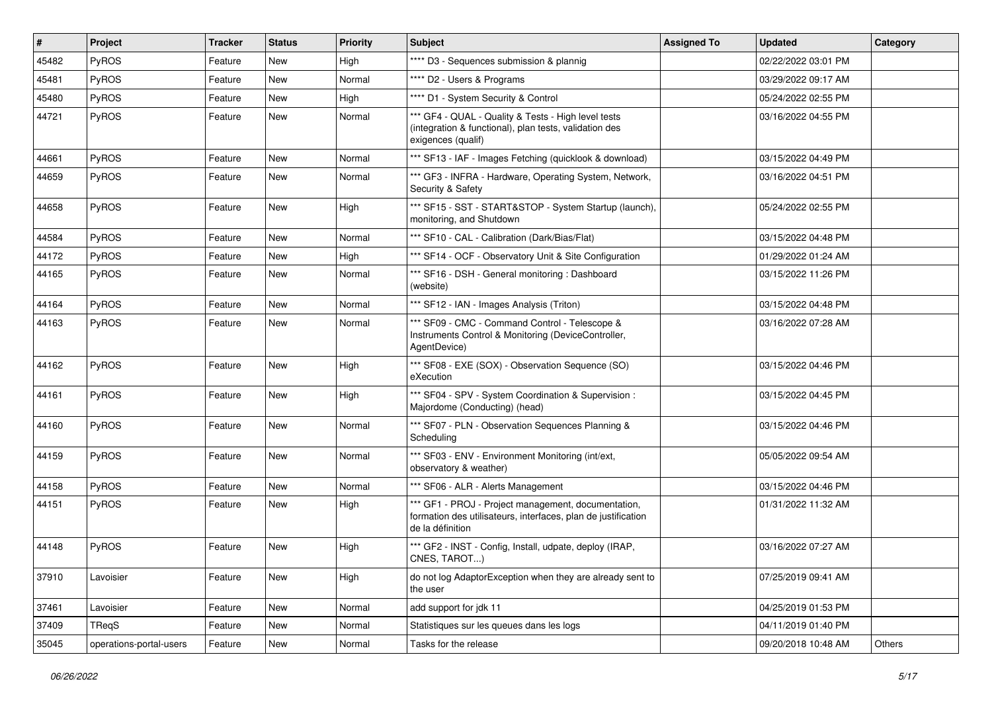| #     | Project                 | <b>Tracker</b> | <b>Status</b> | <b>Priority</b> | Subject                                                                                                                                  | <b>Assigned To</b> | <b>Updated</b>      | Category |
|-------|-------------------------|----------------|---------------|-----------------|------------------------------------------------------------------------------------------------------------------------------------------|--------------------|---------------------|----------|
| 45482 | PyROS                   | Feature        | New           | High            | **** D3 - Sequences submission & plannig                                                                                                 |                    | 02/22/2022 03:01 PM |          |
| 45481 | PyROS                   | Feature        | New           | Normal          | **** D2 - Users & Programs                                                                                                               |                    | 03/29/2022 09:17 AM |          |
| 45480 | PyROS                   | Feature        | New           | High            | **** D1 - System Security & Control                                                                                                      |                    | 05/24/2022 02:55 PM |          |
| 44721 | PyROS                   | Feature        | New           | Normal          | *** GF4 - QUAL - Quality & Tests - High level tests<br>(integration & functional), plan tests, validation des<br>exigences (qualif)      |                    | 03/16/2022 04:55 PM |          |
| 44661 | PyROS                   | Feature        | <b>New</b>    | Normal          | *** SF13 - IAF - Images Fetching (quicklook & download)                                                                                  |                    | 03/15/2022 04:49 PM |          |
| 44659 | PyROS                   | Feature        | New           | Normal          | *** GF3 - INFRA - Hardware, Operating System, Network,<br>Security & Safety                                                              |                    | 03/16/2022 04:51 PM |          |
| 44658 | PyROS                   | Feature        | New           | High            | *** SF15 - SST - START&STOP - System Startup (launch),<br>monitoring, and Shutdown                                                       |                    | 05/24/2022 02:55 PM |          |
| 44584 | PyROS                   | Feature        | New           | Normal          | *** SF10 - CAL - Calibration (Dark/Bias/Flat)                                                                                            |                    | 03/15/2022 04:48 PM |          |
| 44172 | PyROS                   | Feature        | New           | High            | *** SF14 - OCF - Observatory Unit & Site Configuration                                                                                   |                    | 01/29/2022 01:24 AM |          |
| 44165 | <b>PyROS</b>            | Feature        | New           | Normal          | *** SF16 - DSH - General monitoring: Dashboard<br>(website)                                                                              |                    | 03/15/2022 11:26 PM |          |
| 44164 | PyROS                   | Feature        | New           | Normal          | *** SF12 - IAN - Images Analysis (Triton)                                                                                                |                    | 03/15/2022 04:48 PM |          |
| 44163 | PyROS                   | Feature        | New           | Normal          | *** SF09 - CMC - Command Control - Telescope &<br>Instruments Control & Monitoring (DeviceController,<br>AgentDevice)                    |                    | 03/16/2022 07:28 AM |          |
| 44162 | PyROS                   | Feature        | New           | High            | *** SF08 - EXE (SOX) - Observation Sequence (SO)<br>eXecution                                                                            |                    | 03/15/2022 04:46 PM |          |
| 44161 | PyROS                   | Feature        | New           | High            | *** SF04 - SPV - System Coordination & Supervision :<br>Majordome (Conducting) (head)                                                    |                    | 03/15/2022 04:45 PM |          |
| 44160 | PyROS                   | Feature        | New           | Normal          | *** SF07 - PLN - Observation Sequences Planning &<br>Scheduling                                                                          |                    | 03/15/2022 04:46 PM |          |
| 44159 | PyROS                   | Feature        | New           | Normal          | *** SF03 - ENV - Environment Monitoring (int/ext,<br>observatory & weather)                                                              |                    | 05/05/2022 09:54 AM |          |
| 44158 | PyROS                   | Feature        | New           | Normal          | *** SF06 - ALR - Alerts Management                                                                                                       |                    | 03/15/2022 04:46 PM |          |
| 44151 | PyROS                   | Feature        | New           | High            | *** GF1 - PROJ - Project management, documentation,<br>formation des utilisateurs, interfaces, plan de justification<br>de la définition |                    | 01/31/2022 11:32 AM |          |
| 44148 | PyROS                   | Feature        | New           | High            | *** GF2 - INST - Config, Install, udpate, deploy (IRAP,<br>CNES, TAROT)                                                                  |                    | 03/16/2022 07:27 AM |          |
| 37910 | Lavoisier               | Feature        | New           | High            | do not log AdaptorException when they are already sent to<br>the user                                                                    |                    | 07/25/2019 09:41 AM |          |
| 37461 | Lavoisier               | Feature        | New           | Normal          | add support for jdk 11                                                                                                                   |                    | 04/25/2019 01:53 PM |          |
| 37409 | TReqS                   | Feature        | New           | Normal          | Statistiques sur les queues dans les logs                                                                                                |                    | 04/11/2019 01:40 PM |          |
| 35045 | operations-portal-users | Feature        | New           | Normal          | Tasks for the release                                                                                                                    |                    | 09/20/2018 10:48 AM | Others   |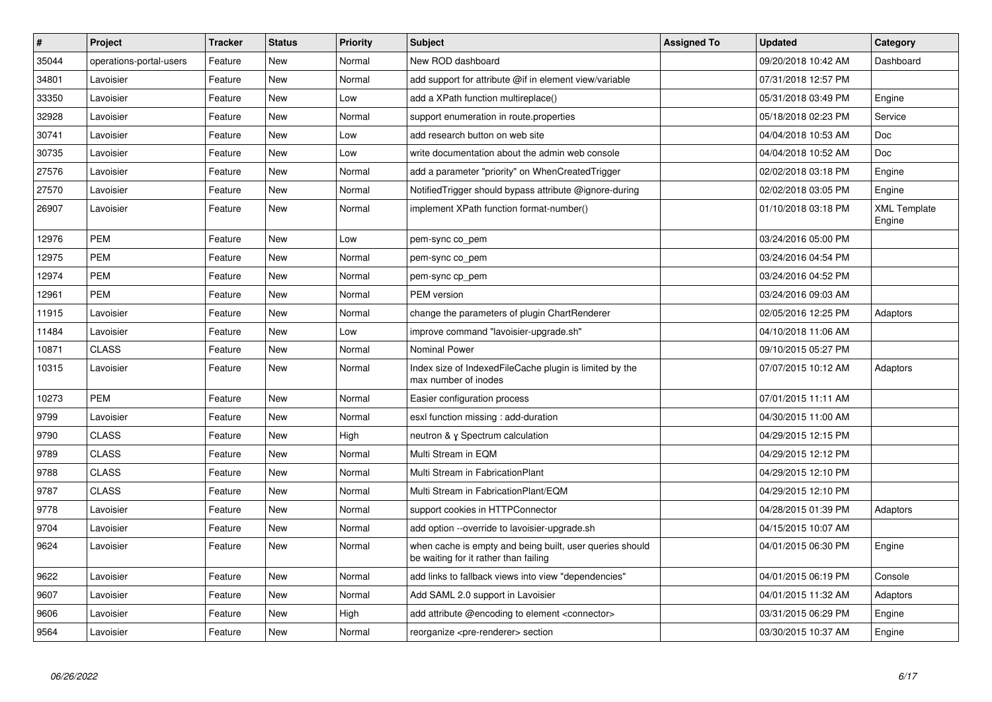| $\vert$ # | Project                 | <b>Tracker</b> | <b>Status</b> | Priority | <b>Subject</b>                                                                                    | <b>Assigned To</b> | <b>Updated</b>      | Category                      |
|-----------|-------------------------|----------------|---------------|----------|---------------------------------------------------------------------------------------------------|--------------------|---------------------|-------------------------------|
| 35044     | operations-portal-users | Feature        | New           | Normal   | New ROD dashboard                                                                                 |                    | 09/20/2018 10:42 AM | Dashboard                     |
| 34801     | Lavoisier               | Feature        | <b>New</b>    | Normal   | add support for attribute @if in element view/variable                                            |                    | 07/31/2018 12:57 PM |                               |
| 33350     | Lavoisier               | Feature        | New           | Low      | add a XPath function multireplace()                                                               |                    | 05/31/2018 03:49 PM | Engine                        |
| 32928     | Lavoisier               | Feature        | <b>New</b>    | Normal   | support enumeration in route properties                                                           |                    | 05/18/2018 02:23 PM | Service                       |
| 30741     | Lavoisier               | Feature        | New           | Low      | add research button on web site                                                                   |                    | 04/04/2018 10:53 AM | Doc                           |
| 30735     | Lavoisier               | Feature        | <b>New</b>    | Low      | write documentation about the admin web console                                                   |                    | 04/04/2018 10:52 AM | <b>Doc</b>                    |
| 27576     | Lavoisier               | Feature        | New           | Normal   | add a parameter "priority" on WhenCreatedTrigger                                                  |                    | 02/02/2018 03:18 PM | Engine                        |
| 27570     | Lavoisier               | Feature        | <b>New</b>    | Normal   | Notified Trigger should bypass attribute @ignore-during                                           |                    | 02/02/2018 03:05 PM | Engine                        |
| 26907     | Lavoisier               | Feature        | <b>New</b>    | Normal   | implement XPath function format-number()                                                          |                    | 01/10/2018 03:18 PM | <b>XML Template</b><br>Engine |
| 12976     | <b>PEM</b>              | Feature        | <b>New</b>    | Low      | pem-sync co_pem                                                                                   |                    | 03/24/2016 05:00 PM |                               |
| 12975     | <b>PEM</b>              | Feature        | New           | Normal   | pem-sync co_pem                                                                                   |                    | 03/24/2016 04:54 PM |                               |
| 12974     | <b>PEM</b>              | Feature        | <b>New</b>    | Normal   | pem-sync cp_pem                                                                                   |                    | 03/24/2016 04:52 PM |                               |
| 12961     | <b>PEM</b>              | Feature        | New           | Normal   | <b>PEM</b> version                                                                                |                    | 03/24/2016 09:03 AM |                               |
| 11915     | Lavoisier               | Feature        | <b>New</b>    | Normal   | change the parameters of plugin ChartRenderer                                                     |                    | 02/05/2016 12:25 PM | Adaptors                      |
| 11484     | Lavoisier               | Feature        | New           | Low      | improve command "lavoisier-upgrade.sh"                                                            |                    | 04/10/2018 11:06 AM |                               |
| 10871     | <b>CLASS</b>            | Feature        | <b>New</b>    | Normal   | <b>Nominal Power</b>                                                                              |                    | 09/10/2015 05:27 PM |                               |
| 10315     | Lavoisier               | Feature        | New           | Normal   | Index size of Indexed File Cache plugin is limited by the<br>max number of inodes                 |                    | 07/07/2015 10:12 AM | Adaptors                      |
| 10273     | <b>PEM</b>              | Feature        | New           | Normal   | Easier configuration process                                                                      |                    | 07/01/2015 11:11 AM |                               |
| 9799      | Lavoisier               | Feature        | New           | Normal   | esxl function missing: add-duration                                                               |                    | 04/30/2015 11:00 AM |                               |
| 9790      | <b>CLASS</b>            | Feature        | New           | High     | neutron & y Spectrum calculation                                                                  |                    | 04/29/2015 12:15 PM |                               |
| 9789      | <b>CLASS</b>            | Feature        | New           | Normal   | Multi Stream in EQM                                                                               |                    | 04/29/2015 12:12 PM |                               |
| 9788      | <b>CLASS</b>            | Feature        | New           | Normal   | Multi Stream in FabricationPlant                                                                  |                    | 04/29/2015 12:10 PM |                               |
| 9787      | <b>CLASS</b>            | Feature        | New           | Normal   | Multi Stream in FabricationPlant/EQM                                                              |                    | 04/29/2015 12:10 PM |                               |
| 9778      | Lavoisier               | Feature        | New           | Normal   | support cookies in HTTPConnector                                                                  |                    | 04/28/2015 01:39 PM | Adaptors                      |
| 9704      | Lavoisier               | Feature        | New           | Normal   | add option --override to lavoisier-upgrade.sh                                                     |                    | 04/15/2015 10:07 AM |                               |
| 9624      | Lavoisier               | Feature        | New           | Normal   | when cache is empty and being built, user queries should<br>be waiting for it rather than failing |                    | 04/01/2015 06:30 PM | Engine                        |
| 9622      | Lavoisier               | Feature        | New           | Normal   | add links to fallback views into view "dependencies"                                              |                    | 04/01/2015 06:19 PM | Console                       |
| 9607      | Lavoisier               | Feature        | New           | Normal   | Add SAML 2.0 support in Lavoisier                                                                 |                    | 04/01/2015 11:32 AM | Adaptors                      |
| 9606      | Lavoisier               | Feature        | New           | High     | add attribute @encoding to element <connector></connector>                                        |                    | 03/31/2015 06:29 PM | Engine                        |
| 9564      | Lavoisier               | Feature        | <b>New</b>    | Normal   | reorganize <pre-renderer> section</pre-renderer>                                                  |                    | 03/30/2015 10:37 AM | Engine                        |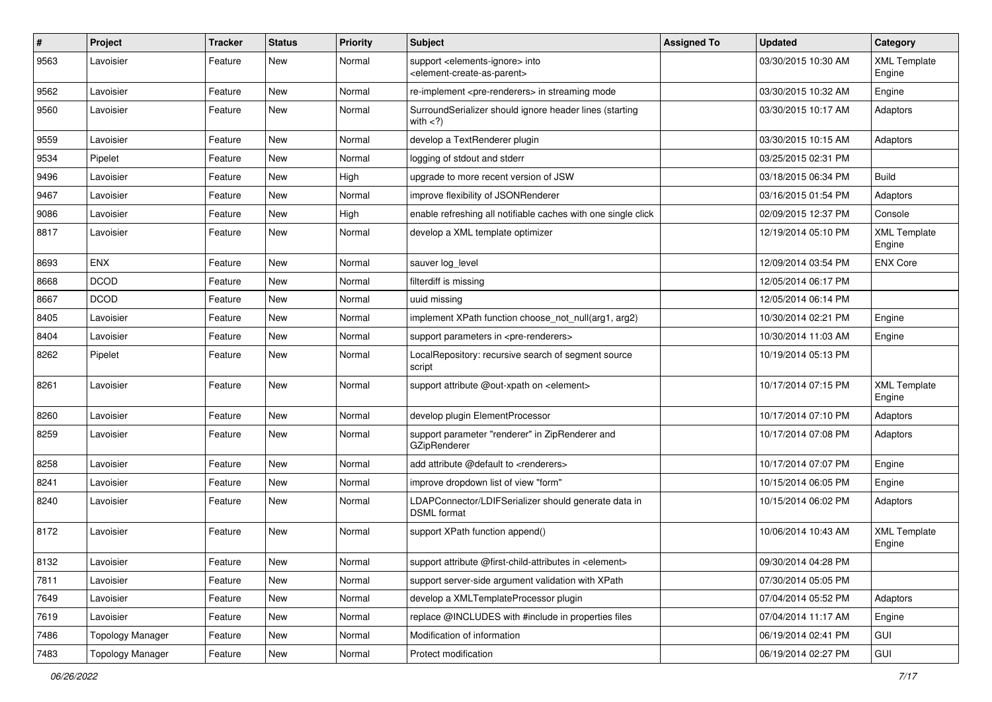| $\pmb{\#}$ | Project                 | <b>Tracker</b> | <b>Status</b> | <b>Priority</b> | Subject                                                                                                    | <b>Assigned To</b> | <b>Updated</b>      | Category                      |
|------------|-------------------------|----------------|---------------|-----------------|------------------------------------------------------------------------------------------------------------|--------------------|---------------------|-------------------------------|
| 9563       | Lavoisier               | Feature        | New           | Normal          | support <elements-ignore> into<br/><element-create-as-parent></element-create-as-parent></elements-ignore> |                    | 03/30/2015 10:30 AM | <b>XML Template</b><br>Engine |
| 9562       | Lavoisier               | Feature        | <b>New</b>    | Normal          | re-implement <pre-renderers> in streaming mode</pre-renderers>                                             |                    | 03/30/2015 10:32 AM | Engine                        |
| 9560       | Lavoisier               | Feature        | New           | Normal          | SurroundSerializer should ignore header lines (starting<br>with $<$ ?)                                     |                    | 03/30/2015 10:17 AM | Adaptors                      |
| 9559       | Lavoisier               | Feature        | New           | Normal          | develop a TextRenderer plugin                                                                              |                    | 03/30/2015 10:15 AM | Adaptors                      |
| 9534       | Pipelet                 | Feature        | New           | Normal          | logging of stdout and stderr                                                                               |                    | 03/25/2015 02:31 PM |                               |
| 9496       | Lavoisier               | Feature        | New           | High            | upgrade to more recent version of JSW                                                                      |                    | 03/18/2015 06:34 PM | <b>Build</b>                  |
| 9467       | Lavoisier               | Feature        | New           | Normal          | improve flexibility of JSONRenderer                                                                        |                    | 03/16/2015 01:54 PM | Adaptors                      |
| 9086       | Lavoisier               | Feature        | New           | High            | enable refreshing all notifiable caches with one single click                                              |                    | 02/09/2015 12:37 PM | Console                       |
| 8817       | Lavoisier               | Feature        | New           | Normal          | develop a XML template optimizer                                                                           |                    | 12/19/2014 05:10 PM | <b>XML Template</b><br>Engine |
| 8693       | <b>ENX</b>              | Feature        | <b>New</b>    | Normal          | sauver log_level                                                                                           |                    | 12/09/2014 03:54 PM | <b>ENX Core</b>               |
| 8668       | <b>DCOD</b>             | Feature        | New           | Normal          | filterdiff is missing                                                                                      |                    | 12/05/2014 06:17 PM |                               |
| 8667       | <b>DCOD</b>             | Feature        | <b>New</b>    | Normal          | uuid missing                                                                                               |                    | 12/05/2014 06:14 PM |                               |
| 8405       | Lavoisier               | Feature        | New           | Normal          | implement XPath function choose not null(arg1, arg2)                                                       |                    | 10/30/2014 02:21 PM | Engine                        |
| 8404       | Lavoisier               | Feature        | New           | Normal          | support parameters in <pre-renderers></pre-renderers>                                                      |                    | 10/30/2014 11:03 AM | Engine                        |
| 8262       | Pipelet                 | Feature        | New           | Normal          | LocalRepository: recursive search of segment source<br>script                                              |                    | 10/19/2014 05:13 PM |                               |
| 8261       | Lavoisier               | Feature        | New           | Normal          | support attribute @out-xpath on <element></element>                                                        |                    | 10/17/2014 07:15 PM | <b>XML Template</b><br>Engine |
| 8260       | Lavoisier               | Feature        | New           | Normal          | develop plugin ElementProcessor                                                                            |                    | 10/17/2014 07:10 PM | Adaptors                      |
| 8259       | Lavoisier               | Feature        | New           | Normal          | support parameter "renderer" in ZipRenderer and<br>GZipRenderer                                            |                    | 10/17/2014 07:08 PM | Adaptors                      |
| 8258       | Lavoisier               | Feature        | New           | Normal          | add attribute @default to <renderers></renderers>                                                          |                    | 10/17/2014 07:07 PM | Engine                        |
| 8241       | Lavoisier               | Feature        | New           | Normal          | improve dropdown list of view "form"                                                                       |                    | 10/15/2014 06:05 PM | Engine                        |
| 8240       | Lavoisier               | Feature        | New           | Normal          | LDAPConnector/LDIFSerializer should generate data in<br><b>DSML</b> format                                 |                    | 10/15/2014 06:02 PM | Adaptors                      |
| 8172       | Lavoisier               | Feature        | New           | Normal          | support XPath function append()                                                                            |                    | 10/06/2014 10:43 AM | <b>XML Template</b><br>Engine |
| 8132       | Lavoisier               | Feature        | New           | Normal          | support attribute @first-child-attributes in <element></element>                                           |                    | 09/30/2014 04:28 PM |                               |
| 7811       | Lavoisier               | Feature        | New           | Normal          | support server-side argument validation with XPath                                                         |                    | 07/30/2014 05:05 PM |                               |
| 7649       | Lavoisier               | Feature        | New           | Normal          | develop a XMLTemplateProcessor plugin                                                                      |                    | 07/04/2014 05:52 PM | Adaptors                      |
| 7619       | Lavoisier               | Feature        | New           | Normal          | replace @INCLUDES with #include in properties files                                                        |                    | 07/04/2014 11:17 AM | Engine                        |
| 7486       | <b>Topology Manager</b> | Feature        | New           | Normal          | Modification of information                                                                                |                    | 06/19/2014 02:41 PM | GUI                           |
| 7483       | <b>Topology Manager</b> | Feature        | New           | Normal          | Protect modification                                                                                       |                    | 06/19/2014 02:27 PM | <b>GUI</b>                    |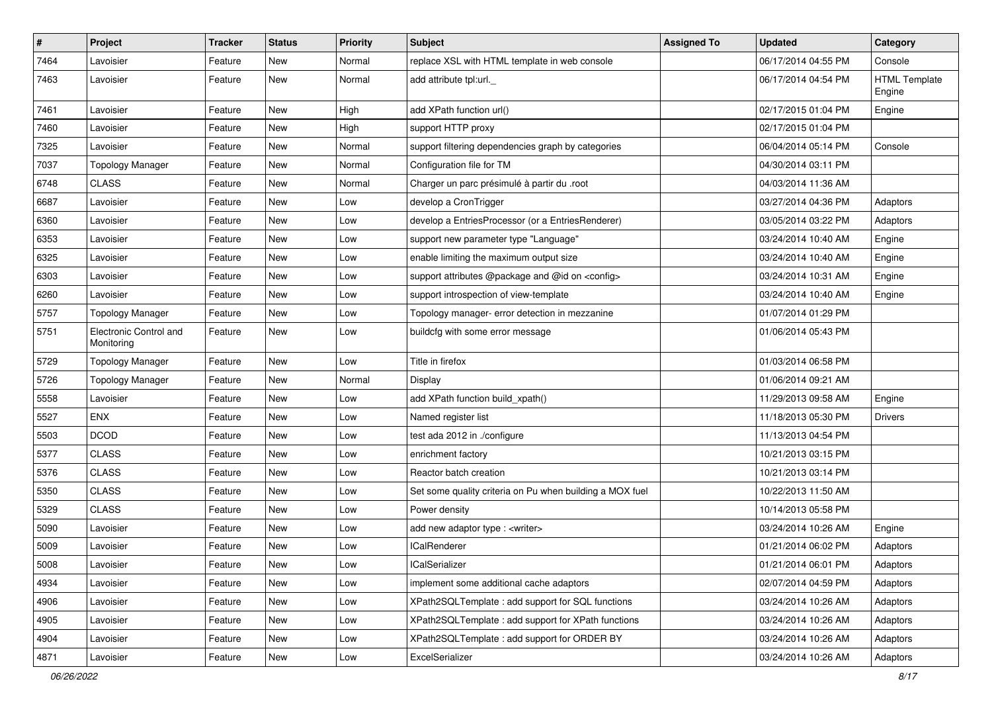| $\sharp$ | Project                              | <b>Tracker</b> | <b>Status</b> | <b>Priority</b> | <b>Subject</b>                                           | <b>Assigned To</b> | <b>Updated</b>      | Category                       |
|----------|--------------------------------------|----------------|---------------|-----------------|----------------------------------------------------------|--------------------|---------------------|--------------------------------|
| 7464     | Lavoisier                            | Feature        | New           | Normal          | replace XSL with HTML template in web console            |                    | 06/17/2014 04:55 PM | Console                        |
| 7463     | Lavoisier                            | Feature        | New           | Normal          | add attribute tpl:url.                                   |                    | 06/17/2014 04:54 PM | <b>HTML Template</b><br>Engine |
| 7461     | Lavoisier                            | Feature        | New           | High            | add XPath function url()                                 |                    | 02/17/2015 01:04 PM | Engine                         |
| 7460     | Lavoisier                            | Feature        | New           | High            | support HTTP proxy                                       |                    | 02/17/2015 01:04 PM |                                |
| 7325     | Lavoisier                            | Feature        | New           | Normal          | support filtering dependencies graph by categories       |                    | 06/04/2014 05:14 PM | Console                        |
| 7037     | <b>Topology Manager</b>              | Feature        | New           | Normal          | Configuration file for TM                                |                    | 04/30/2014 03:11 PM |                                |
| 6748     | <b>CLASS</b>                         | Feature        | New           | Normal          | Charger un parc présimulé à partir du .root              |                    | 04/03/2014 11:36 AM |                                |
| 6687     | Lavoisier                            | Feature        | New           | Low             | develop a CronTrigger                                    |                    | 03/27/2014 04:36 PM | Adaptors                       |
| 6360     | Lavoisier                            | Feature        | New           | Low             | develop a EntriesProcessor (or a EntriesRenderer)        |                    | 03/05/2014 03:22 PM | Adaptors                       |
| 6353     | Lavoisier                            | Feature        | New           | Low             | support new parameter type "Language"                    |                    | 03/24/2014 10:40 AM | Engine                         |
| 6325     | Lavoisier                            | Feature        | New           | Low             | enable limiting the maximum output size                  |                    | 03/24/2014 10:40 AM | Engine                         |
| 6303     | Lavoisier                            | Feature        | New           | Low             | support attributes @package and @id on <config></config> |                    | 03/24/2014 10:31 AM | Engine                         |
| 6260     | Lavoisier                            | Feature        | New           | Low             | support introspection of view-template                   |                    | 03/24/2014 10:40 AM | Engine                         |
| 5757     | <b>Topology Manager</b>              | Feature        | New           | Low             | Topology manager- error detection in mezzanine           |                    | 01/07/2014 01:29 PM |                                |
| 5751     | Electronic Control and<br>Monitoring | Feature        | New           | Low             | buildcfg with some error message                         |                    | 01/06/2014 05:43 PM |                                |
| 5729     | <b>Topology Manager</b>              | Feature        | New           | Low             | Title in firefox                                         |                    | 01/03/2014 06:58 PM |                                |
| 5726     | <b>Topology Manager</b>              | Feature        | New           | Normal          | Display                                                  |                    | 01/06/2014 09:21 AM |                                |
| 5558     | Lavoisier                            | Feature        | New           | Low             | add XPath function build_xpath()                         |                    | 11/29/2013 09:58 AM | Engine                         |
| 5527     | <b>ENX</b>                           | Feature        | New           | Low             | Named register list                                      |                    | 11/18/2013 05:30 PM | <b>Drivers</b>                 |
| 5503     | <b>DCOD</b>                          | Feature        | New           | Low             | test ada 2012 in ./configure                             |                    | 11/13/2013 04:54 PM |                                |
| 5377     | <b>CLASS</b>                         | Feature        | New           | Low             | enrichment factory                                       |                    | 10/21/2013 03:15 PM |                                |
| 5376     | <b>CLASS</b>                         | Feature        | New           | Low             | Reactor batch creation                                   |                    | 10/21/2013 03:14 PM |                                |
| 5350     | <b>CLASS</b>                         | Feature        | New           | Low             | Set some quality criteria on Pu when building a MOX fuel |                    | 10/22/2013 11:50 AM |                                |
| 5329     | <b>CLASS</b>                         | Feature        | New           | Low             | Power density                                            |                    | 10/14/2013 05:58 PM |                                |
| 5090     | Lavoisier                            | Feature        | New           | Low             | add new adaptor type : <writer></writer>                 |                    | 03/24/2014 10:26 AM | Engine                         |
| 5009     | Lavoisier                            | Feature        | New           | Low             | <b>ICalRenderer</b>                                      |                    | 01/21/2014 06:02 PM | Adaptors                       |
| 5008     | Lavoisier                            | Feature        | New           | Low             | <b>ICalSerializer</b>                                    |                    | 01/21/2014 06:01 PM | Adaptors                       |
| 4934     | Lavoisier                            | Feature        | New           | Low             | implement some additional cache adaptors                 |                    | 02/07/2014 04:59 PM | Adaptors                       |
| 4906     | Lavoisier                            | Feature        | New           | Low             | XPath2SQLTemplate : add support for SQL functions        |                    | 03/24/2014 10:26 AM | Adaptors                       |
| 4905     | Lavoisier                            | Feature        | New           | Low             | XPath2SQLTemplate: add support for XPath functions       |                    | 03/24/2014 10:26 AM | Adaptors                       |
| 4904     | Lavoisier                            | Feature        | New           | Low             | XPath2SQLTemplate : add support for ORDER BY             |                    | 03/24/2014 10:26 AM | Adaptors                       |
| 4871     | Lavoisier                            | Feature        | New           | Low             | ExcelSerializer                                          |                    | 03/24/2014 10:26 AM | Adaptors                       |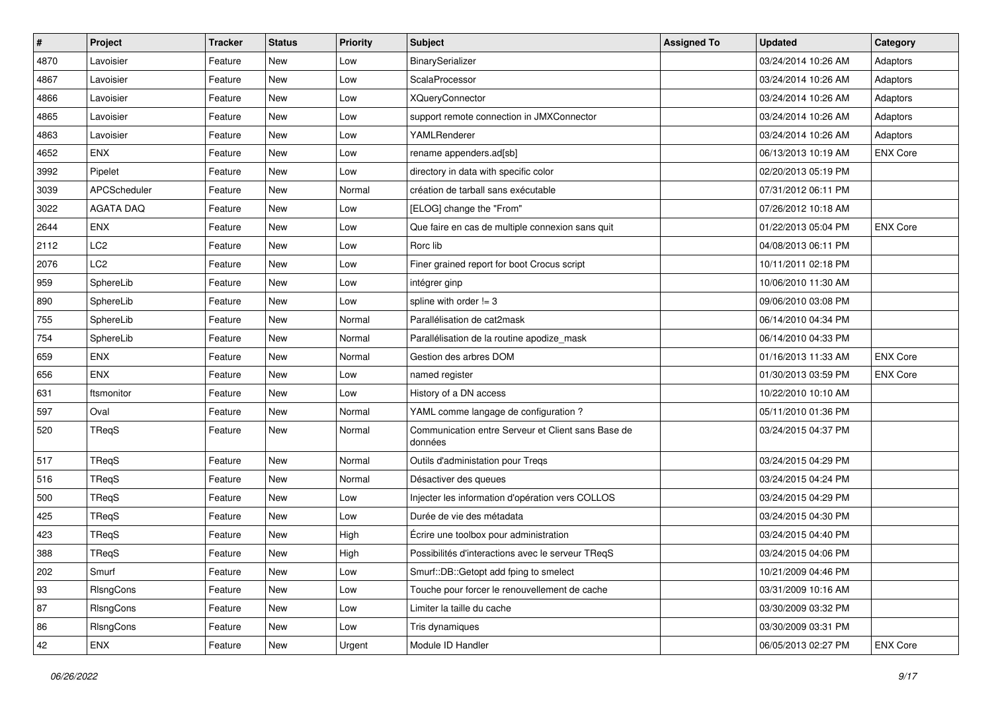| $\pmb{\#}$ | Project          | <b>Tracker</b> | <b>Status</b> | <b>Priority</b> | Subject                                                       | <b>Assigned To</b> | <b>Updated</b>      | Category        |
|------------|------------------|----------------|---------------|-----------------|---------------------------------------------------------------|--------------------|---------------------|-----------------|
| 4870       | Lavoisier        | Feature        | New           | Low             | BinarySerializer                                              |                    | 03/24/2014 10:26 AM | Adaptors        |
| 4867       | Lavoisier        | Feature        | New           | Low             | ScalaProcessor                                                |                    | 03/24/2014 10:26 AM | Adaptors        |
| 4866       | Lavoisier        | Feature        | New           | Low             | <b>XQueryConnector</b>                                        |                    | 03/24/2014 10:26 AM | Adaptors        |
| 4865       | Lavoisier        | Feature        | New           | Low             | support remote connection in JMXConnector                     |                    | 03/24/2014 10:26 AM | Adaptors        |
| 4863       | Lavoisier        | Feature        | New           | Low             | YAMLRenderer                                                  |                    | 03/24/2014 10:26 AM | Adaptors        |
| 4652       | <b>ENX</b>       | Feature        | New           | Low             | rename appenders.ad[sb]                                       |                    | 06/13/2013 10:19 AM | <b>ENX Core</b> |
| 3992       | Pipelet          | Feature        | New           | Low             | directory in data with specific color                         |                    | 02/20/2013 05:19 PM |                 |
| 3039       | APCScheduler     | Feature        | New           | Normal          | création de tarball sans exécutable                           |                    | 07/31/2012 06:11 PM |                 |
| 3022       | <b>AGATA DAQ</b> | Feature        | New           | Low             | [ELOG] change the "From"                                      |                    | 07/26/2012 10:18 AM |                 |
| 2644       | <b>ENX</b>       | Feature        | New           | Low             | Que faire en cas de multiple connexion sans quit              |                    | 01/22/2013 05:04 PM | <b>ENX Core</b> |
| 2112       | LC <sub>2</sub>  | Feature        | New           | Low             | Rorc lib                                                      |                    | 04/08/2013 06:11 PM |                 |
| 2076       | LC <sub>2</sub>  | Feature        | New           | Low             | Finer grained report for boot Crocus script                   |                    | 10/11/2011 02:18 PM |                 |
| 959        | SphereLib        | Feature        | New           | Low             | intégrer ginp                                                 |                    | 10/06/2010 11:30 AM |                 |
| 890        | SphereLib        | Feature        | New           | Low             | spline with order $!= 3$                                      |                    | 09/06/2010 03:08 PM |                 |
| 755        | SphereLib        | Feature        | New           | Normal          | Parallélisation de cat2mask                                   |                    | 06/14/2010 04:34 PM |                 |
| 754        | SphereLib        | Feature        | New           | Normal          | Parallélisation de la routine apodize_mask                    |                    | 06/14/2010 04:33 PM |                 |
| 659        | <b>ENX</b>       | Feature        | New           | Normal          | Gestion des arbres DOM                                        |                    | 01/16/2013 11:33 AM | <b>ENX Core</b> |
| 656        | <b>ENX</b>       | Feature        | New           | Low             | named register                                                |                    | 01/30/2013 03:59 PM | <b>ENX Core</b> |
| 631        | ftsmonitor       | Feature        | New           | Low             | History of a DN access                                        |                    | 10/22/2010 10:10 AM |                 |
| 597        | Oval             | Feature        | New           | Normal          | YAML comme langage de configuration ?                         |                    | 05/11/2010 01:36 PM |                 |
| 520        | TRegS            | Feature        | New           | Normal          | Communication entre Serveur et Client sans Base de<br>données |                    | 03/24/2015 04:37 PM |                 |
| 517        | TReqS            | Feature        | New           | Normal          | Outils d'administation pour Treqs                             |                    | 03/24/2015 04:29 PM |                 |
| 516        | TReqS            | Feature        | New           | Normal          | Désactiver des queues                                         |                    | 03/24/2015 04:24 PM |                 |
| 500        | TReqS            | Feature        | New           | Low             | Injecter les information d'opération vers COLLOS              |                    | 03/24/2015 04:29 PM |                 |
| 425        | TReqS            | Feature        | New           | Low             | Durée de vie des métadata                                     |                    | 03/24/2015 04:30 PM |                 |
| 423        | TReqS            | Feature        | New           | High            | Écrire une toolbox pour administration                        |                    | 03/24/2015 04:40 PM |                 |
| 388        | TReqS            | Feature        | New           | High            | Possibilités d'interactions avec le serveur TRegS             |                    | 03/24/2015 04:06 PM |                 |
| 202        | Smurf            | Feature        | New           | Low             | Smurf::DB::Getopt add fping to smelect                        |                    | 10/21/2009 04:46 PM |                 |
| 93         | RIsngCons        | Feature        | New           | Low             | Touche pour forcer le renouvellement de cache                 |                    | 03/31/2009 10:16 AM |                 |
| 87         | RIsngCons        | Feature        | New           | Low             | Limiter la taille du cache                                    |                    | 03/30/2009 03:32 PM |                 |
| 86         | RIsngCons        | Feature        | New           | Low             | Tris dynamiques                                               |                    | 03/30/2009 03:31 PM |                 |
| 42         | <b>ENX</b>       | Feature        | New           | Urgent          | Module ID Handler                                             |                    | 06/05/2013 02:27 PM | <b>ENX Core</b> |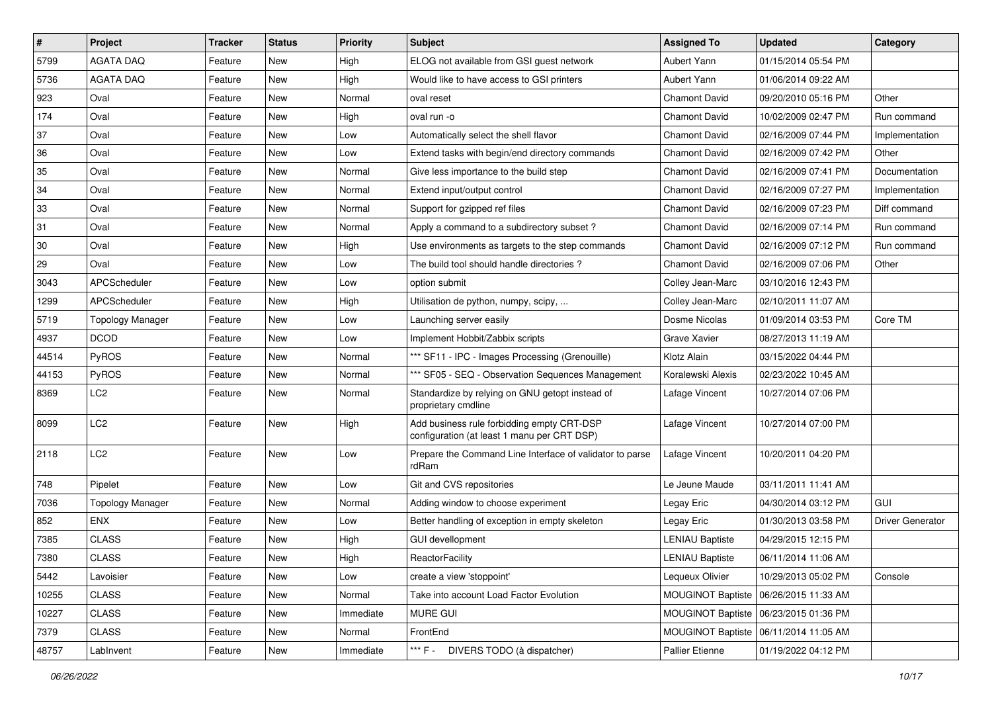| $\sharp$ | Project                 | <b>Tracker</b> | <b>Status</b> | <b>Priority</b> | Subject                                                                                   | <b>Assigned To</b>       | <b>Updated</b>      | Category                |
|----------|-------------------------|----------------|---------------|-----------------|-------------------------------------------------------------------------------------------|--------------------------|---------------------|-------------------------|
| 5799     | AGATA DAQ               | Feature        | New           | High            | ELOG not available from GSI guest network                                                 | Aubert Yann              | 01/15/2014 05:54 PM |                         |
| 5736     | <b>AGATA DAQ</b>        | Feature        | New           | High            | Would like to have access to GSI printers                                                 | Aubert Yann              | 01/06/2014 09:22 AM |                         |
| 923      | Oval                    | Feature        | New           | Normal          | oval reset                                                                                | <b>Chamont David</b>     | 09/20/2010 05:16 PM | Other                   |
| 174      | Oval                    | Feature        | New           | High            | oval run -o                                                                               | <b>Chamont David</b>     | 10/02/2009 02:47 PM | Run command             |
| 37       | Oval                    | Feature        | New           | Low             | Automatically select the shell flavor                                                     | <b>Chamont David</b>     | 02/16/2009 07:44 PM | Implementation          |
| 36       | Oval                    | Feature        | New           | Low             | Extend tasks with begin/end directory commands                                            | <b>Chamont David</b>     | 02/16/2009 07:42 PM | Other                   |
| 35       | Oval                    | Feature        | New           | Normal          | Give less importance to the build step                                                    | <b>Chamont David</b>     | 02/16/2009 07:41 PM | Documentation           |
| 34       | Oval                    | Feature        | New           | Normal          | Extend input/output control                                                               | <b>Chamont David</b>     | 02/16/2009 07:27 PM | Implementation          |
| 33       | Oval                    | Feature        | New           | Normal          | Support for gzipped ref files                                                             | <b>Chamont David</b>     | 02/16/2009 07:23 PM | Diff command            |
| 31       | Oval                    | Feature        | New           | Normal          | Apply a command to a subdirectory subset?                                                 | <b>Chamont David</b>     | 02/16/2009 07:14 PM | Run command             |
| 30       | Oval                    | Feature        | New           | High            | Use environments as targets to the step commands                                          | Chamont David            | 02/16/2009 07:12 PM | Run command             |
| 29       | Oval                    | Feature        | New           | Low             | The build tool should handle directories?                                                 | <b>Chamont David</b>     | 02/16/2009 07:06 PM | Other                   |
| 3043     | APCScheduler            | Feature        | New           | Low             | option submit                                                                             | Colley Jean-Marc         | 03/10/2016 12:43 PM |                         |
| 1299     | APCScheduler            | Feature        | New           | High            | Utilisation de python, numpy, scipy,                                                      | Colley Jean-Marc         | 02/10/2011 11:07 AM |                         |
| 5719     | <b>Topology Manager</b> | Feature        | New           | Low             | Launching server easily                                                                   | Dosme Nicolas            | 01/09/2014 03:53 PM | Core TM                 |
| 4937     | <b>DCOD</b>             | Feature        | New           | Low             | Implement Hobbit/Zabbix scripts                                                           | Grave Xavier             | 08/27/2013 11:19 AM |                         |
| 44514    | PyROS                   | Feature        | New           | Normal          | *** SF11 - IPC - Images Processing (Grenouille)                                           | Klotz Alain              | 03/15/2022 04:44 PM |                         |
| 44153    | PyROS                   | Feature        | New           | Normal          | *** SF05 - SEQ - Observation Sequences Management                                         | Koralewski Alexis        | 02/23/2022 10:45 AM |                         |
| 8369     | LC2                     | Feature        | New           | Normal          | Standardize by relying on GNU getopt instead of<br>proprietary cmdline                    | Lafage Vincent           | 10/27/2014 07:06 PM |                         |
| 8099     | LC <sub>2</sub>         | Feature        | New           | High            | Add business rule forbidding empty CRT-DSP<br>configuration (at least 1 manu per CRT DSP) | Lafage Vincent           | 10/27/2014 07:00 PM |                         |
| 2118     | LC <sub>2</sub>         | Feature        | New           | Low             | Prepare the Command Line Interface of validator to parse<br>rdRam                         | Lafage Vincent           | 10/20/2011 04:20 PM |                         |
| 748      | Pipelet                 | Feature        | New           | Low             | Git and CVS repositories                                                                  | Le Jeune Maude           | 03/11/2011 11:41 AM |                         |
| 7036     | <b>Topology Manager</b> | Feature        | New           | Normal          | Adding window to choose experiment                                                        | Legay Eric               | 04/30/2014 03:12 PM | <b>GUI</b>              |
| 852      | <b>ENX</b>              | Feature        | New           | Low             | Better handling of exception in empty skeleton                                            | Legay Eric               | 01/30/2013 03:58 PM | <b>Driver Generator</b> |
| 7385     | <b>CLASS</b>            | Feature        | New           | High            | <b>GUI devellopment</b>                                                                   | <b>LENIAU Baptiste</b>   | 04/29/2015 12:15 PM |                         |
| 7380     | <b>CLASS</b>            | Feature        | New           | High            | ReactorFacility                                                                           | <b>LENIAU Baptiste</b>   | 06/11/2014 11:06 AM |                         |
| 5442     | Lavoisier               | Feature        | New           | Low             | create a view 'stoppoint'                                                                 | Lequeux Olivier          | 10/29/2013 05:02 PM | Console                 |
| 10255    | <b>CLASS</b>            | Feature        | New           | Normal          | Take into account Load Factor Evolution                                                   | MOUGINOT Baptiste        | 06/26/2015 11:33 AM |                         |
| 10227    | CLASS                   | Feature        | New           | Immediate       | <b>MURE GUI</b>                                                                           | <b>MOUGINOT Baptiste</b> | 06/23/2015 01:36 PM |                         |
| 7379     | CLASS                   | Feature        | New           | Normal          | FrontEnd                                                                                  | MOUGINOT Baptiste        | 06/11/2014 11:05 AM |                         |
| 48757    | LabInvent               | Feature        | New           | Immediate       | *** F - DIVERS TODO (à dispatcher)                                                        | Pallier Etienne          | 01/19/2022 04:12 PM |                         |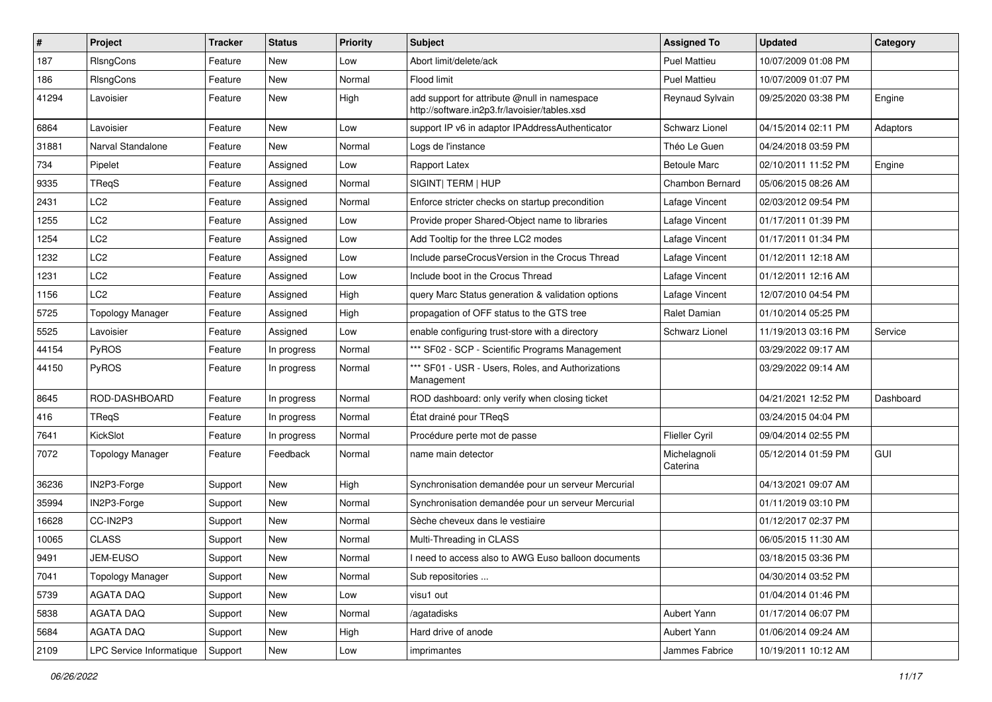| $\sharp$ | Project                  | <b>Tracker</b> | <b>Status</b> | <b>Priority</b> | <b>Subject</b>                                                                                | <b>Assigned To</b>       | <b>Updated</b>      | Category  |
|----------|--------------------------|----------------|---------------|-----------------|-----------------------------------------------------------------------------------------------|--------------------------|---------------------|-----------|
| 187      | RIsngCons                | Feature        | New           | Low             | Abort limit/delete/ack                                                                        | <b>Puel Mattieu</b>      | 10/07/2009 01:08 PM |           |
| 186      | RIsngCons                | Feature        | New           | Normal          | Flood limit                                                                                   | <b>Puel Mattieu</b>      | 10/07/2009 01:07 PM |           |
| 41294    | Lavoisier                | Feature        | New           | High            | add support for attribute @null in namespace<br>http://software.in2p3.fr/lavoisier/tables.xsd | Reynaud Sylvain          | 09/25/2020 03:38 PM | Engine    |
| 6864     | Lavoisier                | Feature        | New           | Low             | support IP v6 in adaptor IPAddressAuthenticator                                               | Schwarz Lionel           | 04/15/2014 02:11 PM | Adaptors  |
| 31881    | Narval Standalone        | Feature        | New           | Normal          | Logs de l'instance                                                                            | Théo Le Guen             | 04/24/2018 03:59 PM |           |
| 734      | Pipelet                  | Feature        | Assigned      | Low             | Rapport Latex                                                                                 | <b>Betoule Marc</b>      | 02/10/2011 11:52 PM | Engine    |
| 9335     | TReqS                    | Feature        | Assigned      | Normal          | SIGINT  TERM   HUP                                                                            | Chambon Bernard          | 05/06/2015 08:26 AM |           |
| 2431     | LC <sub>2</sub>          | Feature        | Assigned      | Normal          | Enforce stricter checks on startup precondition                                               | Lafage Vincent           | 02/03/2012 09:54 PM |           |
| 1255     | LC <sub>2</sub>          | Feature        | Assigned      | Low             | Provide proper Shared-Object name to libraries                                                | Lafage Vincent           | 01/17/2011 01:39 PM |           |
| 1254     | LC <sub>2</sub>          | Feature        | Assigned      | Low             | Add Tooltip for the three LC2 modes                                                           | Lafage Vincent           | 01/17/2011 01:34 PM |           |
| 1232     | LC <sub>2</sub>          | Feature        | Assigned      | Low             | Include parseCrocusVersion in the Crocus Thread                                               | Lafage Vincent           | 01/12/2011 12:18 AM |           |
| 1231     | LC <sub>2</sub>          | Feature        | Assigned      | Low             | Include boot in the Crocus Thread                                                             | Lafage Vincent           | 01/12/2011 12:16 AM |           |
| 1156     | LC <sub>2</sub>          | Feature        | Assigned      | High            | query Marc Status generation & validation options                                             | Lafage Vincent           | 12/07/2010 04:54 PM |           |
| 5725     | <b>Topology Manager</b>  | Feature        | Assigned      | High            | propagation of OFF status to the GTS tree                                                     | Ralet Damian             | 01/10/2014 05:25 PM |           |
| 5525     | Lavoisier                | Feature        | Assigned      | Low             | enable configuring trust-store with a directory                                               | Schwarz Lionel           | 11/19/2013 03:16 PM | Service   |
| 44154    | PyROS                    | Feature        | In progress   | Normal          | *** SF02 - SCP - Scientific Programs Management                                               |                          | 03/29/2022 09:17 AM |           |
| 44150    | PyROS                    | Feature        | In progress   | Normal          | *** SF01 - USR - Users, Roles, and Authorizations<br>Management                               |                          | 03/29/2022 09:14 AM |           |
| 8645     | ROD-DASHBOARD            | Feature        | In progress   | Normal          | ROD dashboard: only verify when closing ticket                                                |                          | 04/21/2021 12:52 PM | Dashboard |
| 416      | TReqS                    | Feature        | In progress   | Normal          | État drainé pour TReqS                                                                        |                          | 03/24/2015 04:04 PM |           |
| 7641     | KickSlot                 | Feature        | In progress   | Normal          | Procédure perte mot de passe                                                                  | <b>Flieller Cyril</b>    | 09/04/2014 02:55 PM |           |
| 7072     | <b>Topology Manager</b>  | Feature        | Feedback      | Normal          | name main detector                                                                            | Michelagnoli<br>Caterina | 05/12/2014 01:59 PM | GUI       |
| 36236    | IN2P3-Forge              | Support        | New           | High            | Synchronisation demandée pour un serveur Mercurial                                            |                          | 04/13/2021 09:07 AM |           |
| 35994    | IN2P3-Forge              | Support        | New           | Normal          | Synchronisation demandée pour un serveur Mercurial                                            |                          | 01/11/2019 03:10 PM |           |
| 16628    | CC-IN2P3                 | Support        | New           | Normal          | Sèche cheveux dans le vestiaire                                                               |                          | 01/12/2017 02:37 PM |           |
| 10065    | <b>CLASS</b>             | Support        | New           | Normal          | Multi-Threading in CLASS                                                                      |                          | 06/05/2015 11:30 AM |           |
| 9491     | JEM-EUSO                 | Support        | New           | Normal          | I need to access also to AWG Euso balloon documents                                           |                          | 03/18/2015 03:36 PM |           |
| 7041     | <b>Topology Manager</b>  | Support        | New           | Normal          | Sub repositories                                                                              |                          | 04/30/2014 03:52 PM |           |
| 5739     | <b>AGATA DAQ</b>         | Support        | New           | Low             | visu1 out                                                                                     |                          | 01/04/2014 01:46 PM |           |
| 5838     | AGATA DAQ                | Support        | New           | Normal          | /agatadisks                                                                                   | Aubert Yann              | 01/17/2014 06:07 PM |           |
| 5684     | AGATA DAQ                | Support        | New           | High            | Hard drive of anode                                                                           | Aubert Yann              | 01/06/2014 09:24 AM |           |
| 2109     | LPC Service Informatique | Support        | New           | Low             | imprimantes                                                                                   | Jammes Fabrice           | 10/19/2011 10:12 AM |           |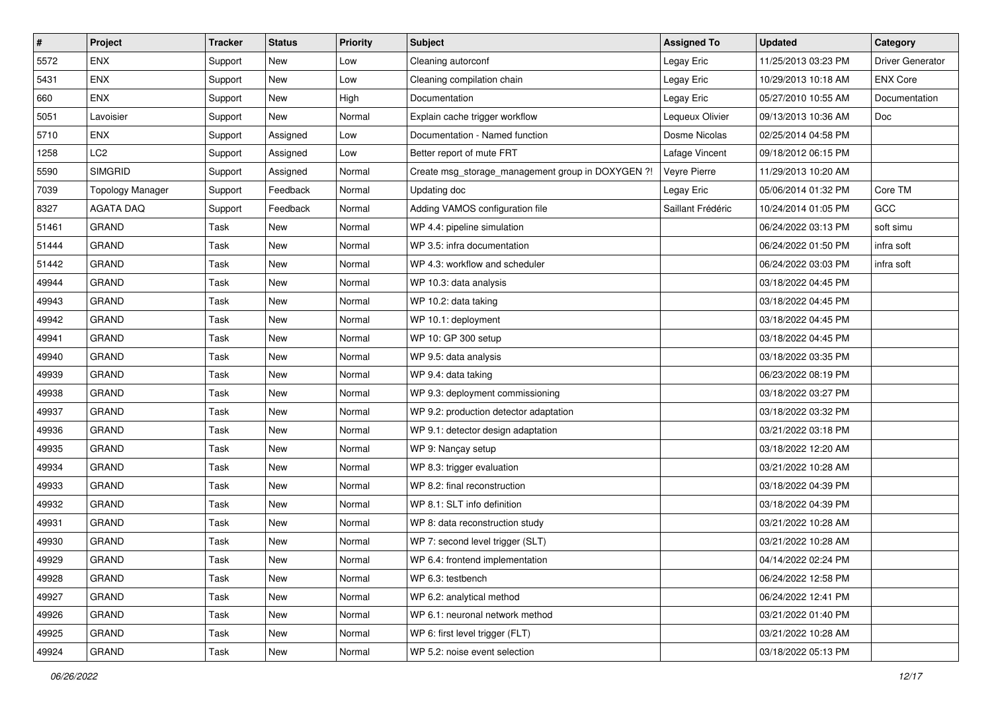| $\vert$ # | Project                 | <b>Tracker</b> | <b>Status</b> | <b>Priority</b> | Subject                                           | <b>Assigned To</b> | <b>Updated</b>      | Category                |
|-----------|-------------------------|----------------|---------------|-----------------|---------------------------------------------------|--------------------|---------------------|-------------------------|
| 5572      | <b>ENX</b>              | Support        | New           | Low             | Cleaning autorconf                                | Legay Eric         | 11/25/2013 03:23 PM | <b>Driver Generator</b> |
| 5431      | ENX                     | Support        | New           | Low             | Cleaning compilation chain                        | Legay Eric         | 10/29/2013 10:18 AM | <b>ENX Core</b>         |
| 660       | <b>ENX</b>              | Support        | New           | High            | Documentation                                     | Legay Eric         | 05/27/2010 10:55 AM | Documentation           |
| 5051      | Lavoisier               | Support        | New           | Normal          | Explain cache trigger workflow                    | Lequeux Olivier    | 09/13/2013 10:36 AM | Doc                     |
| 5710      | <b>ENX</b>              | Support        | Assigned      | Low             | Documentation - Named function                    | Dosme Nicolas      | 02/25/2014 04:58 PM |                         |
| 1258      | LC <sub>2</sub>         | Support        | Assigned      | Low             | Better report of mute FRT                         | Lafage Vincent     | 09/18/2012 06:15 PM |                         |
| 5590      | <b>SIMGRID</b>          | Support        | Assigned      | Normal          | Create msg_storage_management group in DOXYGEN ?! | Veyre Pierre       | 11/29/2013 10:20 AM |                         |
| 7039      | <b>Topology Manager</b> | Support        | Feedback      | Normal          | Updating doc                                      | Legay Eric         | 05/06/2014 01:32 PM | Core TM                 |
| 8327      | <b>AGATA DAQ</b>        | Support        | Feedback      | Normal          | Adding VAMOS configuration file                   | Saillant Frédéric  | 10/24/2014 01:05 PM | GCC                     |
| 51461     | <b>GRAND</b>            | Task           | New           | Normal          | WP 4.4: pipeline simulation                       |                    | 06/24/2022 03:13 PM | soft simu               |
| 51444     | <b>GRAND</b>            | Task           | New           | Normal          | WP 3.5: infra documentation                       |                    | 06/24/2022 01:50 PM | infra soft              |
| 51442     | <b>GRAND</b>            | Task           | New           | Normal          | WP 4.3: workflow and scheduler                    |                    | 06/24/2022 03:03 PM | infra soft              |
| 49944     | <b>GRAND</b>            | Task           | New           | Normal          | WP 10.3: data analysis                            |                    | 03/18/2022 04:45 PM |                         |
| 49943     | <b>GRAND</b>            | Task           | New           | Normal          | WP 10.2: data taking                              |                    | 03/18/2022 04:45 PM |                         |
| 49942     | <b>GRAND</b>            | Task           | New           | Normal          | WP 10.1: deployment                               |                    | 03/18/2022 04:45 PM |                         |
| 49941     | <b>GRAND</b>            | Task           | New           | Normal          | WP 10: GP 300 setup                               |                    | 03/18/2022 04:45 PM |                         |
| 49940     | <b>GRAND</b>            | Task           | New           | Normal          | WP 9.5: data analysis                             |                    | 03/18/2022 03:35 PM |                         |
| 49939     | GRAND                   | Task           | New           | Normal          | WP 9.4: data taking                               |                    | 06/23/2022 08:19 PM |                         |
| 49938     | <b>GRAND</b>            | Task           | New           | Normal          | WP 9.3: deployment commissioning                  |                    | 03/18/2022 03:27 PM |                         |
| 49937     | <b>GRAND</b>            | Task           | New           | Normal          | WP 9.2: production detector adaptation            |                    | 03/18/2022 03:32 PM |                         |
| 49936     | <b>GRAND</b>            | Task           | New           | Normal          | WP 9.1: detector design adaptation                |                    | 03/21/2022 03:18 PM |                         |
| 49935     | <b>GRAND</b>            | Task           | New           | Normal          | WP 9: Nançay setup                                |                    | 03/18/2022 12:20 AM |                         |
| 49934     | <b>GRAND</b>            | Task           | New           | Normal          | WP 8.3: trigger evaluation                        |                    | 03/21/2022 10:28 AM |                         |
| 49933     | <b>GRAND</b>            | Task           | New           | Normal          | WP 8.2: final reconstruction                      |                    | 03/18/2022 04:39 PM |                         |
| 49932     | <b>GRAND</b>            | Task           | New           | Normal          | WP 8.1: SLT info definition                       |                    | 03/18/2022 04:39 PM |                         |
| 49931     | <b>GRAND</b>            | Task           | New           | Normal          | WP 8: data reconstruction study                   |                    | 03/21/2022 10:28 AM |                         |
| 49930     | <b>GRAND</b>            | Task           | New           | Normal          | WP 7: second level trigger (SLT)                  |                    | 03/21/2022 10:28 AM |                         |
| 49929     | <b>GRAND</b>            | Task           | New           | Normal          | WP 6.4: frontend implementation                   |                    | 04/14/2022 02:24 PM |                         |
| 49928     | <b>GRAND</b>            | Task           | New           | Normal          | WP 6.3: testbench                                 |                    | 06/24/2022 12:58 PM |                         |
| 49927     | <b>GRAND</b>            | Task           | New           | Normal          | WP 6.2: analytical method                         |                    | 06/24/2022 12:41 PM |                         |
| 49926     | GRAND                   | Task           | New           | Normal          | WP 6.1: neuronal network method                   |                    | 03/21/2022 01:40 PM |                         |
| 49925     | <b>GRAND</b>            | Task           | New           | Normal          | WP 6: first level trigger (FLT)                   |                    | 03/21/2022 10:28 AM |                         |
| 49924     | <b>GRAND</b>            | Task           | New           | Normal          | WP 5.2: noise event selection                     |                    | 03/18/2022 05:13 PM |                         |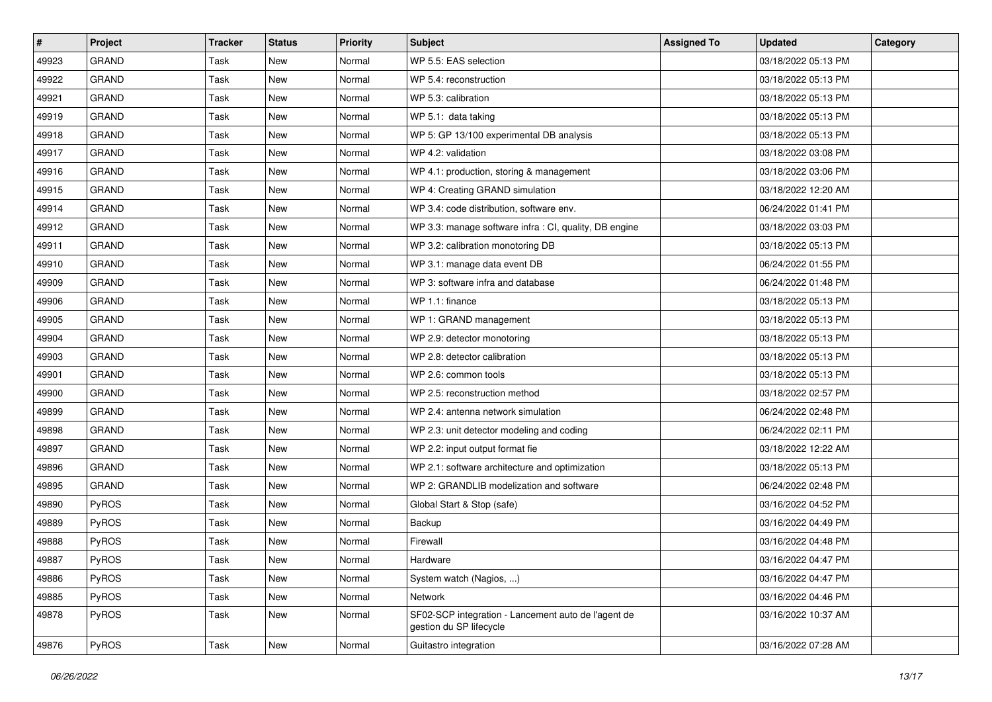| $\vert$ # | Project      | <b>Tracker</b> | <b>Status</b> | <b>Priority</b> | <b>Subject</b>                                                                 | <b>Assigned To</b> | <b>Updated</b>      | Category |
|-----------|--------------|----------------|---------------|-----------------|--------------------------------------------------------------------------------|--------------------|---------------------|----------|
| 49923     | <b>GRAND</b> | Task           | New           | Normal          | WP 5.5: EAS selection                                                          |                    | 03/18/2022 05:13 PM |          |
| 49922     | <b>GRAND</b> | Task           | New           | Normal          | WP 5.4: reconstruction                                                         |                    | 03/18/2022 05:13 PM |          |
| 49921     | <b>GRAND</b> | Task           | New           | Normal          | WP 5.3: calibration                                                            |                    | 03/18/2022 05:13 PM |          |
| 49919     | <b>GRAND</b> | Task           | New           | Normal          | WP 5.1: data taking                                                            |                    | 03/18/2022 05:13 PM |          |
| 49918     | <b>GRAND</b> | Task           | New           | Normal          | WP 5: GP 13/100 experimental DB analysis                                       |                    | 03/18/2022 05:13 PM |          |
| 49917     | <b>GRAND</b> | Task           | New           | Normal          | WP 4.2: validation                                                             |                    | 03/18/2022 03:08 PM |          |
| 49916     | <b>GRAND</b> | Task           | New           | Normal          | WP 4.1: production, storing & management                                       |                    | 03/18/2022 03:06 PM |          |
| 49915     | <b>GRAND</b> | Task           | New           | Normal          | WP 4: Creating GRAND simulation                                                |                    | 03/18/2022 12:20 AM |          |
| 49914     | <b>GRAND</b> | Task           | New           | Normal          | WP 3.4: code distribution, software env.                                       |                    | 06/24/2022 01:41 PM |          |
| 49912     | <b>GRAND</b> | Task           | New           | Normal          | WP 3.3: manage software infra : CI, quality, DB engine                         |                    | 03/18/2022 03:03 PM |          |
| 49911     | <b>GRAND</b> | Task           | New           | Normal          | WP 3.2: calibration monotoring DB                                              |                    | 03/18/2022 05:13 PM |          |
| 49910     | <b>GRAND</b> | Task           | New           | Normal          | WP 3.1: manage data event DB                                                   |                    | 06/24/2022 01:55 PM |          |
| 49909     | <b>GRAND</b> | Task           | New           | Normal          | WP 3: software infra and database                                              |                    | 06/24/2022 01:48 PM |          |
| 49906     | <b>GRAND</b> | Task           | New           | Normal          | WP 1.1: finance                                                                |                    | 03/18/2022 05:13 PM |          |
| 49905     | <b>GRAND</b> | Task           | New           | Normal          | WP 1: GRAND management                                                         |                    | 03/18/2022 05:13 PM |          |
| 49904     | <b>GRAND</b> | Task           | New           | Normal          | WP 2.9: detector monotoring                                                    |                    | 03/18/2022 05:13 PM |          |
| 49903     | <b>GRAND</b> | Task           | New           | Normal          | WP 2.8: detector calibration                                                   |                    | 03/18/2022 05:13 PM |          |
| 49901     | <b>GRAND</b> | Task           | New           | Normal          | WP 2.6: common tools                                                           |                    | 03/18/2022 05:13 PM |          |
| 49900     | <b>GRAND</b> | Task           | New           | Normal          | WP 2.5: reconstruction method                                                  |                    | 03/18/2022 02:57 PM |          |
| 49899     | <b>GRAND</b> | Task           | New           | Normal          | WP 2.4: antenna network simulation                                             |                    | 06/24/2022 02:48 PM |          |
| 49898     | <b>GRAND</b> | Task           | New           | Normal          | WP 2.3: unit detector modeling and coding                                      |                    | 06/24/2022 02:11 PM |          |
| 49897     | <b>GRAND</b> | Task           | New           | Normal          | WP 2.2: input output format fie                                                |                    | 03/18/2022 12:22 AM |          |
| 49896     | <b>GRAND</b> | Task           | New           | Normal          | WP 2.1: software architecture and optimization                                 |                    | 03/18/2022 05:13 PM |          |
| 49895     | <b>GRAND</b> | Task           | <b>New</b>    | Normal          | WP 2: GRANDLIB modelization and software                                       |                    | 06/24/2022 02:48 PM |          |
| 49890     | PyROS        | Task           | New           | Normal          | Global Start & Stop (safe)                                                     |                    | 03/16/2022 04:52 PM |          |
| 49889     | PyROS        | Task           | New           | Normal          | Backup                                                                         |                    | 03/16/2022 04:49 PM |          |
| 49888     | PyROS        | Task           | New           | Normal          | Firewall                                                                       |                    | 03/16/2022 04:48 PM |          |
| 49887     | PyROS        | Task           | New           | Normal          | Hardware                                                                       |                    | 03/16/2022 04:47 PM |          |
| 49886     | PyROS        | Task           | New           | Normal          | System watch (Nagios, )                                                        |                    | 03/16/2022 04:47 PM |          |
| 49885     | PyROS        | Task           | New           | Normal          | Network                                                                        |                    | 03/16/2022 04:46 PM |          |
| 49878     | PyROS        | Task           | New           | Normal          | SF02-SCP integration - Lancement auto de l'agent de<br>gestion du SP lifecycle |                    | 03/16/2022 10:37 AM |          |
| 49876     | PyROS        | Task           | New           | Normal          | Guitastro integration                                                          |                    | 03/16/2022 07:28 AM |          |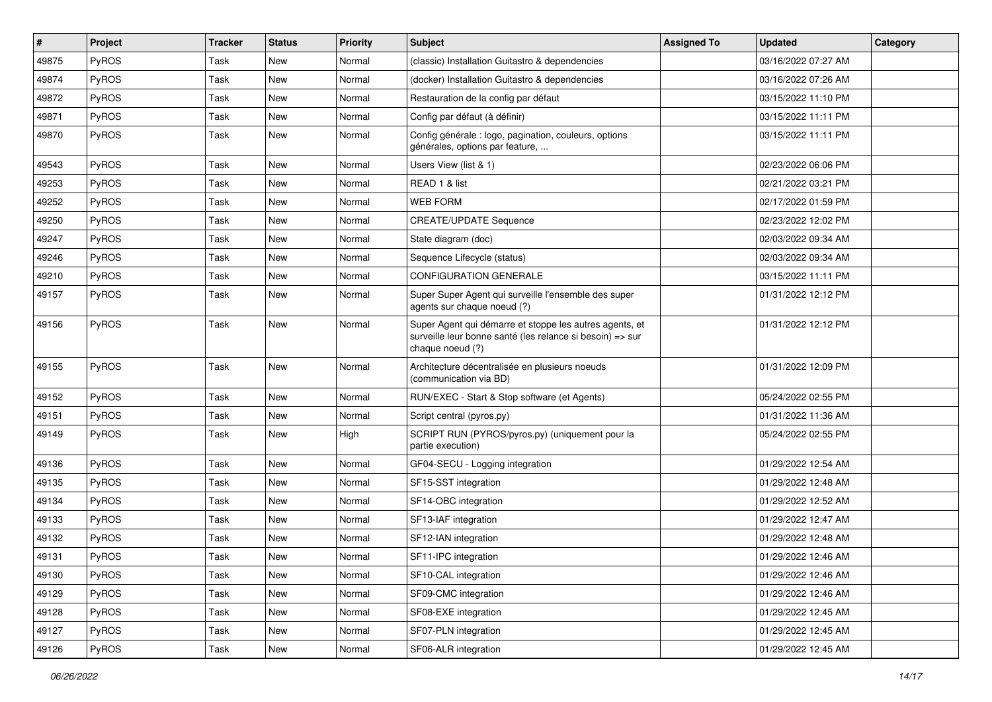| $\sharp$ | Project      | <b>Tracker</b> | <b>Status</b> | <b>Priority</b> | <b>Subject</b>                                                                                                                           | <b>Assigned To</b> | <b>Updated</b>      | Category |
|----------|--------------|----------------|---------------|-----------------|------------------------------------------------------------------------------------------------------------------------------------------|--------------------|---------------------|----------|
| 49875    | <b>PyROS</b> | Task           | <b>New</b>    | Normal          | (classic) Installation Guitastro & dependencies                                                                                          |                    | 03/16/2022 07:27 AM |          |
| 49874    | PyROS        | Task           | <b>New</b>    | Normal          | (docker) Installation Guitastro & dependencies                                                                                           |                    | 03/16/2022 07:26 AM |          |
| 49872    | <b>PyROS</b> | Task           | <b>New</b>    | Normal          | Restauration de la config par défaut                                                                                                     |                    | 03/15/2022 11:10 PM |          |
| 49871    | PyROS        | Task           | <b>New</b>    | Normal          | Config par défaut (à définir)                                                                                                            |                    | 03/15/2022 11:11 PM |          |
| 49870    | PyROS        | Task           | <b>New</b>    | Normal          | Config générale : logo, pagination, couleurs, options<br>générales, options par feature,                                                 |                    | 03/15/2022 11:11 PM |          |
| 49543    | PyROS        | Task           | <b>New</b>    | Normal          | Users View (list & 1)                                                                                                                    |                    | 02/23/2022 06:06 PM |          |
| 49253    | PyROS        | Task           | <b>New</b>    | Normal          | READ 1 & list                                                                                                                            |                    | 02/21/2022 03:21 PM |          |
| 49252    | PyROS        | Task           | <b>New</b>    | Normal          | <b>WEB FORM</b>                                                                                                                          |                    | 02/17/2022 01:59 PM |          |
| 49250    | PyROS        | Task           | <b>New</b>    | Normal          | <b>CREATE/UPDATE Sequence</b>                                                                                                            |                    | 02/23/2022 12:02 PM |          |
| 49247    | <b>PyROS</b> | Task           | New           | Normal          | State diagram (doc)                                                                                                                      |                    | 02/03/2022 09:34 AM |          |
| 49246    | PyROS        | Task           | <b>New</b>    | Normal          | Sequence Lifecycle (status)                                                                                                              |                    | 02/03/2022 09:34 AM |          |
| 49210    | PyROS        | Task           | <b>New</b>    | Normal          | <b>CONFIGURATION GENERALE</b>                                                                                                            |                    | 03/15/2022 11:11 PM |          |
| 49157    | PyROS        | Task           | <b>New</b>    | Normal          | Super Super Agent qui surveille l'ensemble des super<br>agents sur chaque noeud (?)                                                      |                    | 01/31/2022 12:12 PM |          |
| 49156    | PyROS        | Task           | <b>New</b>    | Normal          | Super Agent qui démarre et stoppe les autres agents, et<br>surveille leur bonne santé (les relance si besoin) => sur<br>chaque noeud (?) |                    | 01/31/2022 12:12 PM |          |
| 49155    | <b>PyROS</b> | Task           | <b>New</b>    | Normal          | Architecture décentralisée en plusieurs noeuds<br>(communication via BD)                                                                 |                    | 01/31/2022 12:09 PM |          |
| 49152    | PyROS        | Task           | <b>New</b>    | Normal          | RUN/EXEC - Start & Stop software (et Agents)                                                                                             |                    | 05/24/2022 02:55 PM |          |
| 49151    | <b>PyROS</b> | Task           | <b>New</b>    | Normal          | Script central (pyros.py)                                                                                                                |                    | 01/31/2022 11:36 AM |          |
| 49149    | PyROS        | Task           | New           | High            | SCRIPT RUN (PYROS/pyros.py) (uniquement pour la<br>partie execution)                                                                     |                    | 05/24/2022 02:55 PM |          |
| 49136    | <b>PyROS</b> | Task           | <b>New</b>    | Normal          | GF04-SECU - Logging integration                                                                                                          |                    | 01/29/2022 12:54 AM |          |
| 49135    | PyROS        | Task           | <b>New</b>    | Normal          | SF15-SST integration                                                                                                                     |                    | 01/29/2022 12:48 AM |          |
| 49134    | PyROS        | Task           | <b>New</b>    | Normal          | SF14-OBC integration                                                                                                                     |                    | 01/29/2022 12:52 AM |          |
| 49133    | PyROS        | Task           | New           | Normal          | SF13-IAF integration                                                                                                                     |                    | 01/29/2022 12:47 AM |          |
| 49132    | PyROS        | Task           | New           | Normal          | SF12-IAN integration                                                                                                                     |                    | 01/29/2022 12:48 AM |          |
| 49131    | PyROS        | Task           | New           | Normal          | SF11-IPC integration                                                                                                                     |                    | 01/29/2022 12:46 AM |          |
| 49130    | PyROS        | Task           | <b>New</b>    | Normal          | SF10-CAL integration                                                                                                                     |                    | 01/29/2022 12:46 AM |          |
| 49129    | PyROS        | Task           | New           | Normal          | SF09-CMC integration                                                                                                                     |                    | 01/29/2022 12:46 AM |          |
| 49128    | PyROS        | Task           | New           | Normal          | SF08-EXE integration                                                                                                                     |                    | 01/29/2022 12:45 AM |          |
| 49127    | PyROS        | Task           | New           | Normal          | SF07-PLN integration                                                                                                                     |                    | 01/29/2022 12:45 AM |          |
| 49126    | PyROS        | Task           | New           | Normal          | SF06-ALR integration                                                                                                                     |                    | 01/29/2022 12:45 AM |          |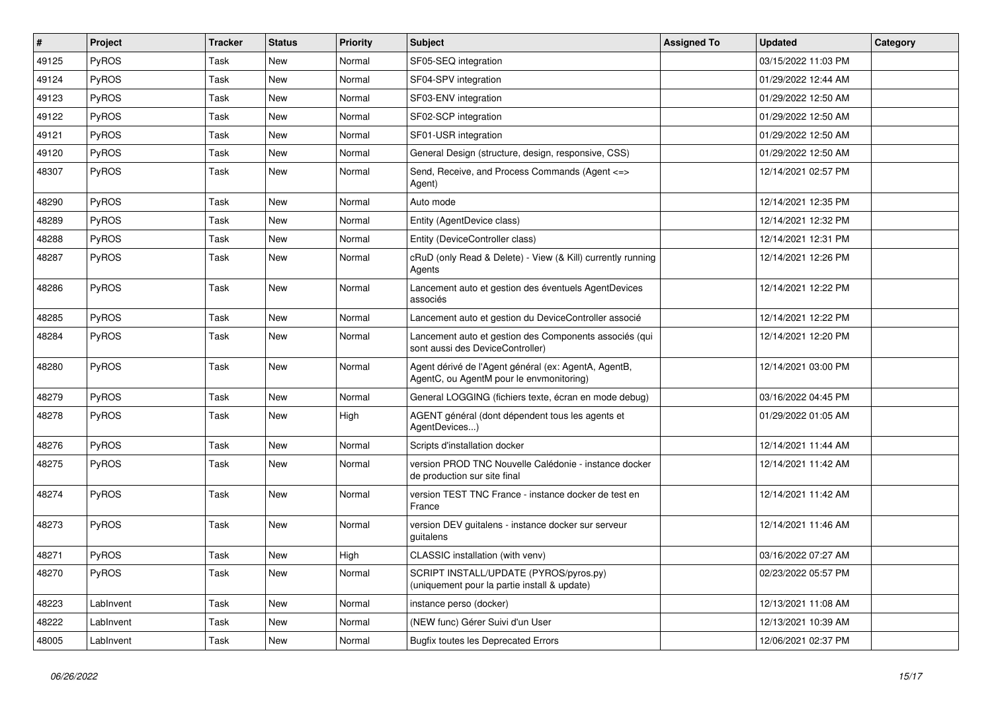| $\vert$ # | Project   | <b>Tracker</b> | <b>Status</b> | <b>Priority</b> | Subject                                                                                          | <b>Assigned To</b> | <b>Updated</b>      | Category |
|-----------|-----------|----------------|---------------|-----------------|--------------------------------------------------------------------------------------------------|--------------------|---------------------|----------|
| 49125     | PyROS     | Task           | <b>New</b>    | Normal          | SF05-SEQ integration                                                                             |                    | 03/15/2022 11:03 PM |          |
| 49124     | PyROS     | Task           | <b>New</b>    | Normal          | SF04-SPV integration                                                                             |                    | 01/29/2022 12:44 AM |          |
| 49123     | PyROS     | Task           | <b>New</b>    | Normal          | SF03-ENV integration                                                                             |                    | 01/29/2022 12:50 AM |          |
| 49122     | PyROS     | Task           | New           | Normal          | SF02-SCP integration                                                                             |                    | 01/29/2022 12:50 AM |          |
| 49121     | PyROS     | Task           | <b>New</b>    | Normal          | SF01-USR integration                                                                             |                    | 01/29/2022 12:50 AM |          |
| 49120     | PyROS     | Task           | New           | Normal          | General Design (structure, design, responsive, CSS)                                              |                    | 01/29/2022 12:50 AM |          |
| 48307     | PyROS     | Task           | <b>New</b>    | Normal          | Send, Receive, and Process Commands (Agent <=><br>Agent)                                         |                    | 12/14/2021 02:57 PM |          |
| 48290     | PyROS     | Task           | <b>New</b>    | Normal          | Auto mode                                                                                        |                    | 12/14/2021 12:35 PM |          |
| 48289     | PyROS     | Task           | New           | Normal          | Entity (AgentDevice class)                                                                       |                    | 12/14/2021 12:32 PM |          |
| 48288     | PyROS     | Task           | <b>New</b>    | Normal          | Entity (DeviceController class)                                                                  |                    | 12/14/2021 12:31 PM |          |
| 48287     | PyROS     | Task           | New           | Normal          | cRuD (only Read & Delete) - View (& Kill) currently running<br>Agents                            |                    | 12/14/2021 12:26 PM |          |
| 48286     | PyROS     | Task           | New           | Normal          | Lancement auto et gestion des éventuels AgentDevices<br>associés                                 |                    | 12/14/2021 12:22 PM |          |
| 48285     | PyROS     | Task           | New           | Normal          | Lancement auto et gestion du DeviceController associé                                            |                    | 12/14/2021 12:22 PM |          |
| 48284     | PyROS     | Task           | New           | Normal          | Lancement auto et gestion des Components associés (qui<br>sont aussi des DeviceController)       |                    | 12/14/2021 12:20 PM |          |
| 48280     | PyROS     | Task           | New           | Normal          | Agent dérivé de l'Agent général (ex: AgentA, AgentB,<br>AgentC, ou AgentM pour le envmonitoring) |                    | 12/14/2021 03:00 PM |          |
| 48279     | PyROS     | Task           | <b>New</b>    | Normal          | General LOGGING (fichiers texte, écran en mode debug)                                            |                    | 03/16/2022 04:45 PM |          |
| 48278     | PyROS     | Task           | New           | High            | AGENT général (dont dépendent tous les agents et<br>AgentDevices)                                |                    | 01/29/2022 01:05 AM |          |
| 48276     | PyROS     | Task           | New           | Normal          | Scripts d'installation docker                                                                    |                    | 12/14/2021 11:44 AM |          |
| 48275     | PyROS     | Task           | New           | Normal          | version PROD TNC Nouvelle Calédonie - instance docker<br>de production sur site final            |                    | 12/14/2021 11:42 AM |          |
| 48274     | PyROS     | Task           | New           | Normal          | version TEST TNC France - instance docker de test en<br>France                                   |                    | 12/14/2021 11:42 AM |          |
| 48273     | PyROS     | Task           | New           | Normal          | version DEV guitalens - instance docker sur serveur<br>guitalens                                 |                    | 12/14/2021 11:46 AM |          |
| 48271     | PyROS     | <b>Task</b>    | New           | High            | CLASSIC installation (with venv)                                                                 |                    | 03/16/2022 07:27 AM |          |
| 48270     | PyROS     | Task           | New           | Normal          | SCRIPT INSTALL/UPDATE (PYROS/pyros.py)<br>(uniquement pour la partie install & update)           |                    | 02/23/2022 05:57 PM |          |
| 48223     | LabInvent | Task           | New           | Normal          | instance perso (docker)                                                                          |                    | 12/13/2021 11:08 AM |          |
| 48222     | LabInvent | Task           | New           | Normal          | (NEW func) Gérer Suivi d'un User                                                                 |                    | 12/13/2021 10:39 AM |          |
| 48005     | LabInvent | Task           | New           | Normal          | <b>Bugfix toutes les Deprecated Errors</b>                                                       |                    | 12/06/2021 02:37 PM |          |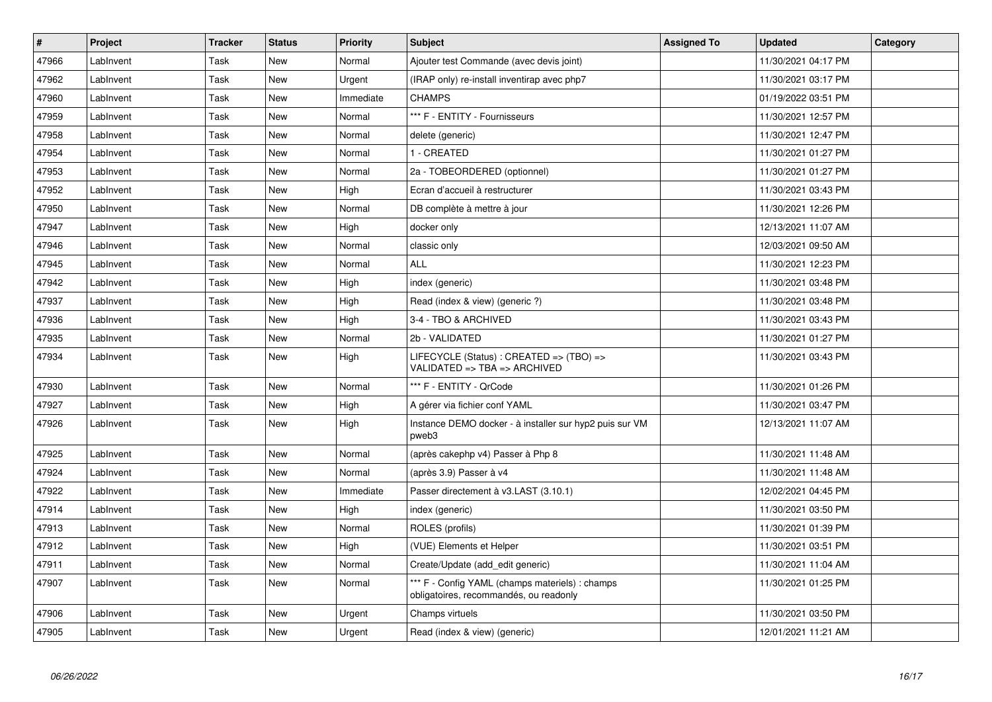| $\vert$ # | Project   | <b>Tracker</b> | <b>Status</b> | <b>Priority</b> | <b>Subject</b>                                                                            | <b>Assigned To</b> | <b>Updated</b>      | Category |
|-----------|-----------|----------------|---------------|-----------------|-------------------------------------------------------------------------------------------|--------------------|---------------------|----------|
| 47966     | LabInvent | Task           | New           | Normal          | Ajouter test Commande (avec devis joint)                                                  |                    | 11/30/2021 04:17 PM |          |
| 47962     | LabInvent | Task           | <b>New</b>    | Urgent          | (IRAP only) re-install inventirap avec php7                                               |                    | 11/30/2021 03:17 PM |          |
| 47960     | LabInvent | Task           | New           | Immediate       | <b>CHAMPS</b>                                                                             |                    | 01/19/2022 03:51 PM |          |
| 47959     | LabInvent | Task           | <b>New</b>    | Normal          | *** F - ENTITY - Fournisseurs                                                             |                    | 11/30/2021 12:57 PM |          |
| 47958     | LabInvent | Task           | <b>New</b>    | Normal          | delete (generic)                                                                          |                    | 11/30/2021 12:47 PM |          |
| 47954     | LabInvent | Task           | <b>New</b>    | Normal          | 1 - CREATED                                                                               |                    | 11/30/2021 01:27 PM |          |
| 47953     | LabInvent | Task           | New           | Normal          | 2a - TOBEORDERED (optionnel)                                                              |                    | 11/30/2021 01:27 PM |          |
| 47952     | LabInvent | Task           | <b>New</b>    | High            | Ecran d'accueil à restructurer                                                            |                    | 11/30/2021 03:43 PM |          |
| 47950     | LabInvent | Task           | New           | Normal          | DB complète à mettre à jour                                                               |                    | 11/30/2021 12:26 PM |          |
| 47947     | LabInvent | Task           | <b>New</b>    | High            | docker only                                                                               |                    | 12/13/2021 11:07 AM |          |
| 47946     | LabInvent | Task           | New           | Normal          | classic only                                                                              |                    | 12/03/2021 09:50 AM |          |
| 47945     | LabInvent | Task           | New           | Normal          | <b>ALL</b>                                                                                |                    | 11/30/2021 12:23 PM |          |
| 47942     | LabInvent | Task           | New           | High            | index (generic)                                                                           |                    | 11/30/2021 03:48 PM |          |
| 47937     | LabInvent | Task           | New           | High            | Read (index & view) (generic ?)                                                           |                    | 11/30/2021 03:48 PM |          |
| 47936     | LabInvent | Task           | New           | High            | 3-4 - TBO & ARCHIVED                                                                      |                    | 11/30/2021 03:43 PM |          |
| 47935     | LabInvent | Task           | New           | Normal          | 2b - VALIDATED                                                                            |                    | 11/30/2021 01:27 PM |          |
| 47934     | LabInvent | Task           | <b>New</b>    | High            | LIFECYCLE (Status) : CREATED => (TBO) =><br>VALIDATED => TBA => ARCHIVED                  |                    | 11/30/2021 03:43 PM |          |
| 47930     | LabInvent | Task           | New           | Normal          | *** F - ENTITY - QrCode                                                                   |                    | 11/30/2021 01:26 PM |          |
| 47927     | LabInvent | Task           | <b>New</b>    | High            | A gérer via fichier conf YAML                                                             |                    | 11/30/2021 03:47 PM |          |
| 47926     | LabInvent | Task           | New           | High            | Instance DEMO docker - à installer sur hyp2 puis sur VM<br>pweb3                          |                    | 12/13/2021 11:07 AM |          |
| 47925     | LabInvent | Task           | New           | Normal          | (après cakephp v4) Passer à Php 8                                                         |                    | 11/30/2021 11:48 AM |          |
| 47924     | LabInvent | Task           | New           | Normal          | (après 3.9) Passer à v4                                                                   |                    | 11/30/2021 11:48 AM |          |
| 47922     | LabInvent | Task           | New           | Immediate       | Passer directement à v3.LAST (3.10.1)                                                     |                    | 12/02/2021 04:45 PM |          |
| 47914     | LabInvent | Task           | New           | High            | index (generic)                                                                           |                    | 11/30/2021 03:50 PM |          |
| 47913     | LabInvent | Task           | <b>New</b>    | Normal          | ROLES (profils)                                                                           |                    | 11/30/2021 01:39 PM |          |
| 47912     | LabInvent | Task           | New           | High            | (VUE) Elements et Helper                                                                  |                    | 11/30/2021 03:51 PM |          |
| 47911     | LabInvent | Task           | <b>New</b>    | Normal          | Create/Update (add edit generic)                                                          |                    | 11/30/2021 11:04 AM |          |
| 47907     | LabInvent | Task           | <b>New</b>    | Normal          | *** F - Config YAML (champs materiels) : champs<br>obligatoires, recommandés, ou readonly |                    | 11/30/2021 01:25 PM |          |
| 47906     | LabInvent | Task           | New           | Urgent          | Champs virtuels                                                                           |                    | 11/30/2021 03:50 PM |          |
| 47905     | LabInvent | Task           | <b>New</b>    | Urgent          | Read (index & view) (generic)                                                             |                    | 12/01/2021 11:21 AM |          |